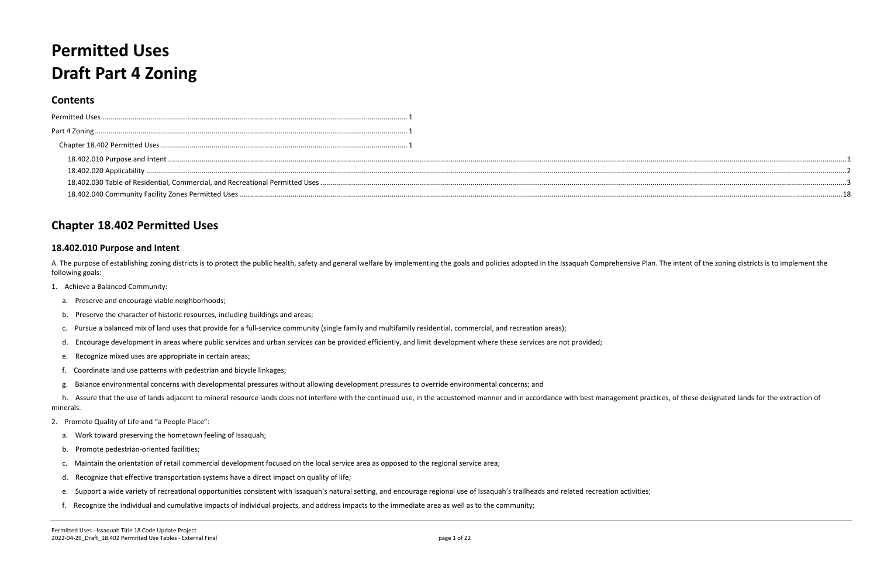# <span id="page-0-1"></span><span id="page-0-0"></span>**Permitted Uses Draft Part 4 Zoning**

## **Contents**

| <b>Permitted Uses</b> |  |
|-----------------------|--|
| Part 4 Zoning         |  |
|                       |  |
|                       |  |
|                       |  |
|                       |  |
|                       |  |

A. The purpose of establishing zoning districts is to protect the public health, safety and general welfare by implementing the goals and policies adopted in the Issaquah Comprehensive Plan. The intent of the zoning distri following goals:

h. Assure that the use of lands adjacent to mineral resource lands does not interfere with the continued use, in the accustomed manner and in accordance with best management practices, of these designated lands for the ext minerals.

## <span id="page-0-2"></span>**Chapter 18.402 Permitted Uses**

#### <span id="page-0-3"></span>**18.402.010 Purpose and Intent**

- 1. Achieve a Balanced Community:
	- a. Preserve and encourage viable neighborhoods;
	- b. Preserve the character of historic resources, including buildings and areas;
	- c. Pursue a balanced mix of land uses that provide for a full-service community (single family and multifamily residential, commercial, and recreation areas);
	- d. Encourage development in areas where public services and urban services can be provided efficiently, and limit development where these services are not provided;
	- e. Recognize mixed uses are appropriate in certain areas;
	- f. Coordinate land use patterns with pedestrian and bicycle linkages;
	- g. Balance environmental concerns with developmental pressures without allowing development pressures to override environmental concerns; and

- 2. Promote Quality of Life and "a People Place":
	- a. Work toward preserving the hometown feeling of Issaquah;
	- b. Promote pedestrian-oriented facilities;
	- c. Maintain the orientation of retail commercial development focused on the local service area as opposed to the regional service area;
	- d. Recognize that effective transportation systems have a direct impact on quality of life;
	- e. Support a wide variety of recreational opportunities consistent with Issaquah's natural setting, and encourage regional use of Issaquah's trailheads and related recreation activities;
	- f. Recognize the individual and cumulative impacts of individual projects, and address impacts to the immediate area as well as to the community;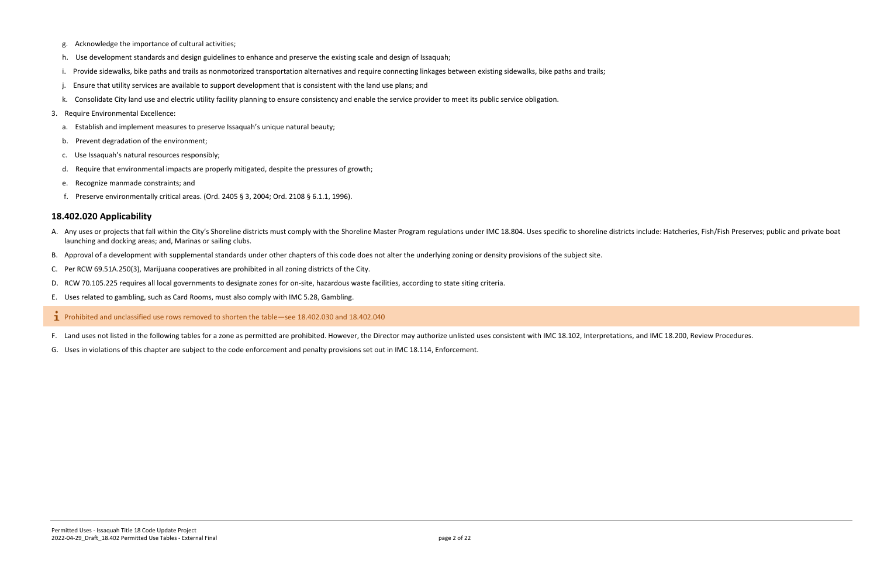- g. Acknowledge the importance of cultural activities;
- h. Use development standards and design guidelines to enhance and preserve the existing scale and design of Issaquah;
- i. Provide sidewalks, bike paths and trails as nonmotorized transportation alternatives and require connecting linkages between existing sidewalks, bike paths and trails;
- j. Ensure that utility services are available to support development that is consistent with the land use plans; and
- k. Consolidate City land use and electric utility facility planning to ensure consistency and enable the service provider to meet its public service obligation.
- 3. Require Environmental Excellence:
	- a. Establish and implement measures to preserve Issaquah's unique natural beauty;
	- b. Prevent degradation of the environment;
	- c. Use Issaquah's natural resources responsibly;
	- d. Require that environmental impacts are properly mitigated, despite the pressures of growth;
	- e. Recognize manmade constraints; and
	- f. Preserve environmentally critical areas. (Ord. 2405 § 3, 2004; Ord. 2108 § 6.1.1, 1996).

- A. Any uses or projects that fall within the City's Shoreline districts must comply with the Shoreline Master Program regulations under IMC 18.804. Uses specific to shoreline districts include: Hatcheries, Fish/Fish Preser launching and docking areas; and, Marinas or sailing clubs.
- B. Approval of a development with supplemental standards under other chapters of this code does not alter the underlying zoning or density provisions of the subject site.
- C. Per RCW 69.51A.250(3), Marijuana cooperatives are prohibited in all zoning districts of the City.
- D. RCW 70.105.225 requires all local governments to designate zones for on-site, hazardous waste facilities, according to state siting criteria.
- E. Uses related to gambling, such as Card Rooms, must also comply with IMC 5.28, Gambling.

Prohibited and unclassified use rows removed to shorten the table—see 18.402.030 and 18.402.040  $\mathbf{I}$ 

#### <span id="page-1-0"></span>**18.402.020 Applicability**

F. Land uses not listed in the following tables for a zone as permitted are prohibited. However, the Director may authorize unlisted uses consistent with IMC 18.102, Interpretations, and IMC 18.200, Review Procedures.

G. Uses in violations of this chapter are subject to the code enforcement and penalty provisions set out in IMC 18.114, Enforcement.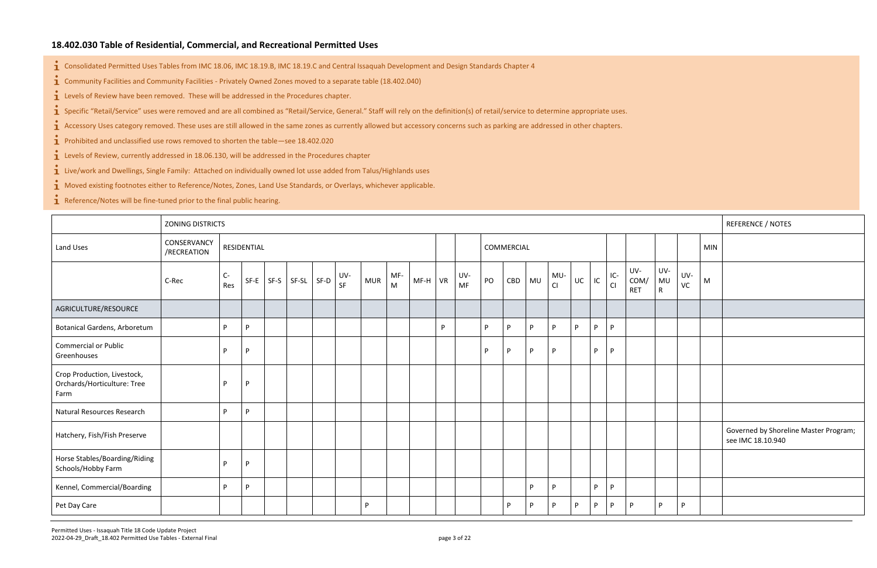### <span id="page-2-0"></span>**18.402.030 Table of Residential, Commercial, and Recreational Permitted Uses**

 $\mathbf{\dot{1}}$  Consolidated Permitted Uses Tables from IMC 18.06, IMC 18.19.B, IMC 18.19.C and Central Issaquah Development and Design Standards Chapter 4

Community Facilities and Community Facilities - Privately Owned Zones moved to a separate table (18.402.040)

 $\mathbf{i}$  Levels of Review have been removed. These will be addressed in the Procedures chapter.

**i** Specific "Retail/Service" uses were removed and are all combined as "Retail/Service, General." Staff will rely on the definition(s) of retail/service to determine appropriate uses.

 $\mathbf{\dot{1}}$  Accessory Uses category removed. These uses are still allowed in the same zones as currently allowed but accessory concerns such as parking are addressed in other chapters.

 $\bullet$  Prohibited and unclassified use rows removed to shorten the table—see 18.402.020

- $\mathbf{i}$  Levels of Review, currently addressed in 18.06.130, will be addressed in the Procedures chapter
- **1** Live/work and Dwellings, Single Family: Attached on individually owned lot usse added from Talus/Highlands uses

 $\mathbf{\hat{i}}$  Moved existing footnotes either to Reference/Notes, Zones, Land Use Standards, or Overlays, whichever applicable.

 $\mathbf{\dot{1}}$  Reference/Notes will be fine-tuned prior to the final public hearing.

|                                                                    | <b>ZONING DISTRICTS</b>    |           |             |        |            |           |            |                     |           |    |                  |    |            |           |           |    |    |           |                           |                           |           |            | <b>REFERENCE / NOTES</b>                                   |
|--------------------------------------------------------------------|----------------------------|-----------|-------------|--------|------------|-----------|------------|---------------------|-----------|----|------------------|----|------------|-----------|-----------|----|----|-----------|---------------------------|---------------------------|-----------|------------|------------------------------------------------------------|
| Land Uses                                                          | CONSERVANCY<br>/RECREATION |           | RESIDENTIAL |        |            |           |            |                     |           |    |                  |    | COMMERCIAL |           |           |    |    |           |                           |                           |           | <b>MIN</b> |                                                            |
|                                                                    | C-Rec                      | C-<br>Res | $SF-E$      | $SF-S$ | SF-SL SF-D | UV-<br>SF | <b>MUR</b> | MF-<br>$\mathsf{M}$ | $MF-H$ VR |    | UV-<br><b>MF</b> | PO | CBD        | <b>MU</b> | MU-<br>CI | UC | IC | IC-<br>Cl | UV-<br>COM/<br><b>RET</b> | UV-<br>MU<br>$\mathsf{R}$ | UV-<br>VC | ${\sf M}$  |                                                            |
| AGRICULTURE/RESOURCE                                               |                            |           |             |        |            |           |            |                     |           |    |                  |    |            |           |           |    |    |           |                           |                           |           |            |                                                            |
| <b>Botanical Gardens, Arboretum</b>                                |                            | P.        | P           |        |            |           |            |                     |           | P. |                  | P. | P          | P.        | P         | P  | P  | P         |                           |                           |           |            |                                                            |
| <b>Commercial or Public</b><br>Greenhouses                         |                            | D         | P.          |        |            |           |            |                     |           |    |                  | P  | P          | <b>P</b>  | P         |    | P  | P         |                           |                           |           |            |                                                            |
| Crop Production, Livestock,<br>Orchards/Horticulture: Tree<br>Farm |                            | <b>D</b>  | P           |        |            |           |            |                     |           |    |                  |    |            |           |           |    |    |           |                           |                           |           |            |                                                            |
| <b>Natural Resources Research</b>                                  |                            | D.        | P           |        |            |           |            |                     |           |    |                  |    |            |           |           |    |    |           |                           |                           |           |            |                                                            |
| Hatchery, Fish/Fish Preserve                                       |                            |           |             |        |            |           |            |                     |           |    |                  |    |            |           |           |    |    |           |                           |                           |           |            | Governed by Shoreline Master Program;<br>see IMC 18.10.940 |
| Horse Stables/Boarding/Riding<br>Schools/Hobby Farm                |                            | <b>D</b>  | P           |        |            |           |            |                     |           |    |                  |    |            |           |           |    |    |           |                           |                           |           |            |                                                            |
| Kennel, Commercial/Boarding                                        |                            | P.        | P           |        |            |           |            |                     |           |    |                  |    |            | P.        | P         |    | P  | P         |                           |                           |           |            |                                                            |
| Pet Day Care                                                       |                            |           |             |        |            |           | P.         |                     |           |    |                  |    | P          | <b>D</b>  | P         | P. | P  | P         |                           | P.                        | P.        |            |                                                            |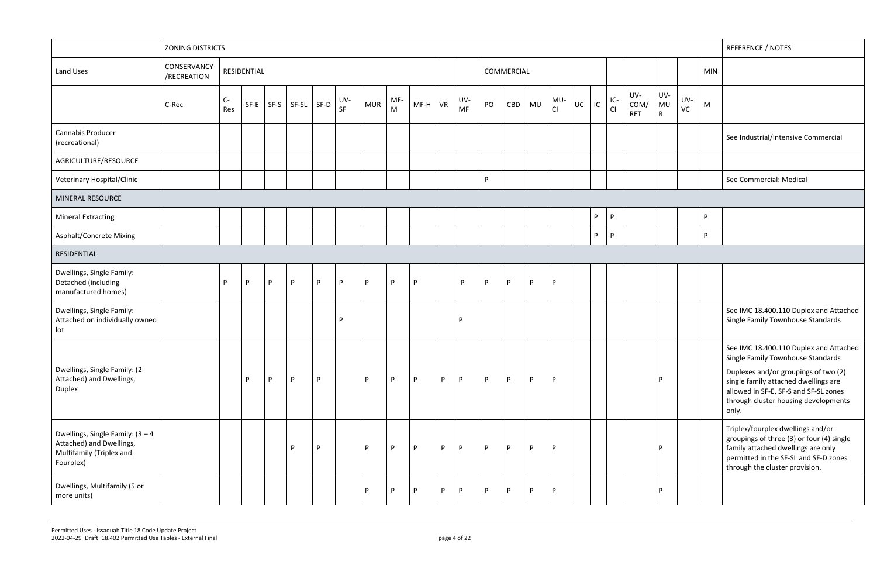|                                                                                                          | <b>ZONING DISTRICTS</b>    |             |             |          |         |         |           |            |          |           |   |                  |    |            |    |           |    |    |             |                           |                                  |           |            | <b>REFERENCE / NOTES</b>                                                                                                                                                                                                                              |
|----------------------------------------------------------------------------------------------------------|----------------------------|-------------|-------------|----------|---------|---------|-----------|------------|----------|-----------|---|------------------|----|------------|----|-----------|----|----|-------------|---------------------------|----------------------------------|-----------|------------|-------------------------------------------------------------------------------------------------------------------------------------------------------------------------------------------------------------------------------------------------------|
| Land Uses                                                                                                | CONSERVANCY<br>/RECREATION |             | RESIDENTIAL |          |         |         |           |            |          |           |   |                  |    | COMMERCIAL |    |           |    |    |             |                           |                                  |           | <b>MIN</b> |                                                                                                                                                                                                                                                       |
|                                                                                                          | C-Rec                      | $C-$<br>Res | SF-E        | SF-S     | $SF-SL$ | SF-D    | UV-<br>SF | <b>MUR</b> | MF-<br>M | $MF-H$ VR |   | UV-<br><b>MF</b> | PO | CBD        | MU | MU-<br>CI | UC | IC | $IC-$<br>CI | UV-<br>COM/<br><b>RET</b> | UV-<br><b>MU</b><br>$\mathsf{R}$ | UV-<br>VC | ${\sf M}$  |                                                                                                                                                                                                                                                       |
| Cannabis Producer<br>(recreational)                                                                      |                            |             |             |          |         |         |           |            |          |           |   |                  |    |            |    |           |    |    |             |                           |                                  |           |            | See Industrial/Intensive Commercial                                                                                                                                                                                                                   |
| AGRICULTURE/RESOURCE                                                                                     |                            |             |             |          |         |         |           |            |          |           |   |                  |    |            |    |           |    |    |             |                           |                                  |           |            |                                                                                                                                                                                                                                                       |
| Veterinary Hospital/Clinic                                                                               |                            |             |             |          |         |         |           |            |          |           |   |                  | P. |            |    |           |    |    |             |                           |                                  |           |            | See Commercial: Medical                                                                                                                                                                                                                               |
| MINERAL RESOURCE                                                                                         |                            |             |             |          |         |         |           |            |          |           |   |                  |    |            |    |           |    |    |             |                           |                                  |           |            |                                                                                                                                                                                                                                                       |
| <b>Mineral Extracting</b>                                                                                |                            |             |             |          |         |         |           |            |          |           |   |                  |    |            |    |           |    | P  | P           |                           |                                  |           | P.         |                                                                                                                                                                                                                                                       |
| Asphalt/Concrete Mixing                                                                                  |                            |             |             |          |         |         |           |            |          |           |   |                  |    |            |    |           |    | P  | P           |                           |                                  |           | <b>P</b>   |                                                                                                                                                                                                                                                       |
| RESIDENTIAL                                                                                              |                            |             |             |          |         |         |           |            |          |           |   |                  |    |            |    |           |    |    |             |                           |                                  |           |            |                                                                                                                                                                                                                                                       |
| Dwellings, Single Family:<br>Detached (including<br>manufactured homes)                                  |                            | P.          | P.          | <b>D</b> | P       | D<br>P. |           | P          | <b>D</b> | <b>D</b>  |   | P                | P  | P          | P  | P         |    |    |             |                           |                                  |           |            |                                                                                                                                                                                                                                                       |
| Dwellings, Single Family:<br>Attached on individually owned<br>lot                                       |                            |             |             |          |         | D       |           |            |          |           |   | D                |    |            |    |           |    |    |             |                           |                                  |           |            | See IMC 18.400.110 Duplex and Attached<br>Single Family Townhouse Standards                                                                                                                                                                           |
| Dwellings, Single Family: (2<br>Attached) and Dwellings,<br>Duplex                                       |                            |             | P           | <b>P</b> | P       | P.      |           | P          | P        | P.        | P | P                | P  | P          | P  | P         |    |    |             |                           | P                                |           |            | See IMC 18.400.110 Duplex and Attached<br>Single Family Townhouse Standards<br>Duplexes and/or groupings of two (2)<br>single family attached dwellings are<br>allowed in SF-E, SF-S and SF-SL zones<br>through cluster housing developments<br>only. |
| Dwellings, Single Family: $(3 - 4)$<br>Attached) and Dwellings,<br>Multifamily (Triplex and<br>Fourplex) |                            |             |             |          | P       | P.      |           | P          | P        | P         | P | P                | P  | P          | P  | P         |    |    |             |                           | P                                |           |            | Triplex/fourplex dwellings and/or<br>groupings of three (3) or four (4) single<br>family attached dwellings are only<br>permitted in the SF-SL and SF-D zones<br>through the cluster provision.                                                       |
| Dwellings, Multifamily (5 or<br>more units)                                                              |                            |             |             |          |         |         |           | P          | P        | P         | P | P                | P  | P          | P  | P         |    |    |             |                           | P                                |           |            |                                                                                                                                                                                                                                                       |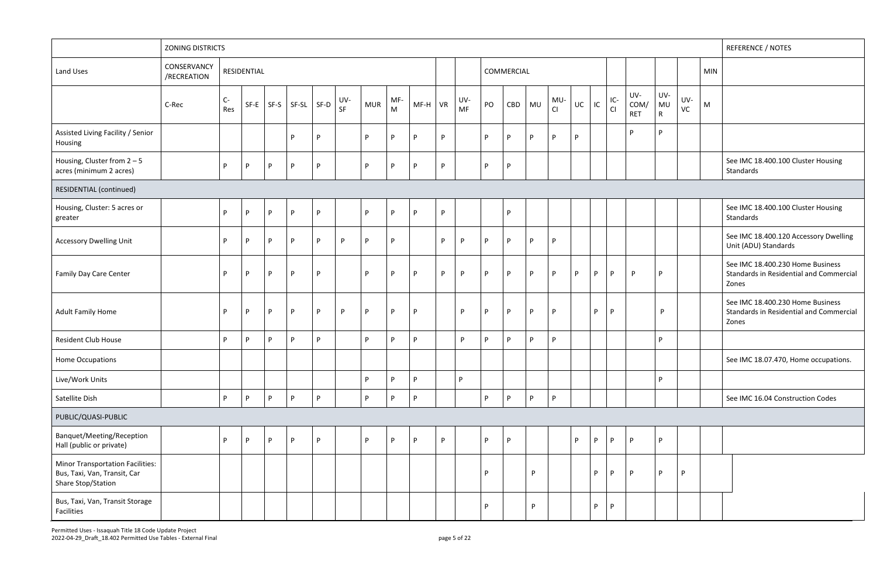Permitted Uses - Issaquah Title 18 Code Update Project 2022-04-29\_Draft\_18.402 Permitted Use Tables - External Final page 5 of 22

|                                                                                               | <b>ZONING DISTRICTS</b>    |             |             |      |                |   |           |            |                     |           |    |                  |    |            |    |           |    |    |           |                           |                           |           |            | <b>REFERENCE / NOTES</b>                                                             |
|-----------------------------------------------------------------------------------------------|----------------------------|-------------|-------------|------|----------------|---|-----------|------------|---------------------|-----------|----|------------------|----|------------|----|-----------|----|----|-----------|---------------------------|---------------------------|-----------|------------|--------------------------------------------------------------------------------------|
| Land Uses                                                                                     | CONSERVANCY<br>/RECREATION |             | RESIDENTIAL |      |                |   |           |            |                     |           |    |                  |    | COMMERCIAL |    |           |    |    |           |                           |                           |           | <b>MIN</b> |                                                                                      |
|                                                                                               | C-Rec                      | $C-$<br>Res | SF-E        | SF-S | $SF-SL$ $SF-D$ |   | UV-<br>SF | <b>MUR</b> | MF-<br>$\mathsf{M}$ | $MF-H$ VR |    | UV-<br><b>MF</b> | PO | CBD        | MU | MU-<br>CI | UC | IC | IC-<br>Cl | UV-<br>COM/<br><b>RET</b> | UV-<br>MU<br>$\mathsf{R}$ | UV-<br>VC | M          |                                                                                      |
| Assisted Living Facility / Senior<br>Housing                                                  |                            |             |             |      | P              | P |           | P.         | D                   | D         | P. |                  | D  | P          | P  | D         | P  |    |           | D                         | D                         |           |            |                                                                                      |
| Housing, Cluster from $2 - 5$<br>acres (minimum 2 acres)                                      |                            | P           | P           | P    | P              | P |           | P.         | <b>D</b>            | D         | P  |                  | D  | P          |    |           |    |    |           |                           |                           |           |            | See IMC 18.400.100 Cluster Housing<br>Standards                                      |
| RESIDENTIAL (continued)                                                                       |                            |             |             |      |                |   |           |            |                     |           |    |                  |    |            |    |           |    |    |           |                           |                           |           |            |                                                                                      |
| Housing, Cluster: 5 acres or<br>greater                                                       |                            | P           | P           | P    | P              | P |           | P          | D                   | P         | P  |                  |    | P          |    |           |    |    |           |                           |                           |           |            | See IMC 18.400.100 Cluster Housing<br>Standards                                      |
| <b>Accessory Dwelling Unit</b>                                                                |                            | P           | P           | P.   | P              | P | P         | P          | D                   |           | P. | P                | D  | P          | P  | D         |    |    |           |                           |                           |           |            | See IMC 18.400.120 Accessory Dwelling<br>Unit (ADU) Standards                        |
| Family Day Care Center                                                                        |                            | P           | P           | P.   | <b>P</b>       | P |           | P          | D                   | D         | P  | P.               | D. | P          | P. | <b>D</b>  | P  | P  | P.        | <b>P</b>                  | P                         |           |            | See IMC 18.400.230 Home Business<br>Standards in Residential and Commercial<br>Zones |
| <b>Adult Family Home</b>                                                                      |                            | P.          | P.          | P    | P              | P | P         | P.         | P                   | P         |    | P                | P  | P          | P  | P         |    | P  | P         |                           | P.                        |           |            | See IMC 18.400.230 Home Business<br>Standards in Residential and Commercial<br>Zones |
| <b>Resident Club House</b>                                                                    |                            | P.          | P           | P.   | P              | P |           | P.         | D                   | P         |    | P                | P. | P          | P. | P         |    |    |           |                           | P.                        |           |            |                                                                                      |
| Home Occupations                                                                              |                            |             |             |      |                |   |           |            |                     |           |    |                  |    |            |    |           |    |    |           |                           |                           |           |            | See IMC 18.07.470, Home occupations.                                                 |
| Live/Work Units                                                                               |                            |             |             |      |                |   |           | P.         | <b>P</b>            | P         |    | <b>P</b>         |    |            |    |           |    |    |           |                           | P.                        |           |            |                                                                                      |
| Satellite Dish                                                                                |                            | P           | P           | P.   | $\mathsf{P}$   | P |           | P.         | P                   | P         |    |                  | P. | P          | P  | P         |    |    |           |                           |                           |           |            | See IMC 16.04 Construction Codes                                                     |
| PUBLIC/QUASI-PUBLIC                                                                           |                            |             |             |      |                |   |           |            |                     |           |    |                  |    |            |    |           |    |    |           |                           |                           |           |            |                                                                                      |
| Banquet/Meeting/Reception<br>Hall (public or private)                                         |                            | P           | P           | P    | P              | P |           | P.         | D                   | P.        | P  |                  | P. | P          |    |           | P  | P  | P         | P                         | P                         |           |            |                                                                                      |
| <b>Minor Transportation Facilities:</b><br>Bus, Taxi, Van, Transit, Car<br>Share Stop/Station |                            |             |             |      |                |   |           |            |                     |           |    |                  | D  |            | P  |           |    | P  | P         | P                         | P                         | P         |            |                                                                                      |
| Bus, Taxi, Van, Transit Storage<br>Facilities                                                 |                            |             |             |      |                |   |           |            |                     |           |    |                  | D  |            | P  |           |    | P  | P         |                           |                           |           |            |                                                                                      |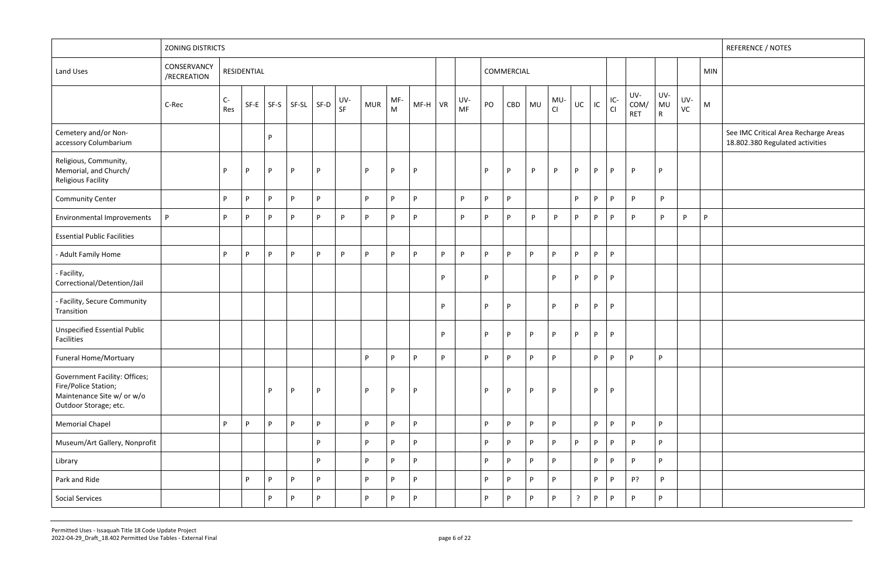|                                                                                                              | <b>ZONING DISTRICTS</b>    |             |             |      |               |      |           |            |                                                                                              |        |    |                  |    |            |              |              |                |    |             |                           |                           |           |            | REFERENCE / NOTES                                                       |
|--------------------------------------------------------------------------------------------------------------|----------------------------|-------------|-------------|------|---------------|------|-----------|------------|----------------------------------------------------------------------------------------------|--------|----|------------------|----|------------|--------------|--------------|----------------|----|-------------|---------------------------|---------------------------|-----------|------------|-------------------------------------------------------------------------|
| Land Uses                                                                                                    | CONSERVANCY<br>/RECREATION |             | RESIDENTIAL |      |               |      |           |            |                                                                                              |        |    |                  |    | COMMERCIAL |              |              |                |    |             |                           |                           |           | <b>MIN</b> |                                                                         |
|                                                                                                              | C-Rec                      | $C-$<br>Res | $SF-E$      | SF-S | $ $ SF-SL $ $ | SF-D | UV-<br>SF | <b>MUR</b> | MF-<br>$\mathsf{M}% _{T}=\mathsf{M}_{T}\!\left( a,b\right) ,\ \mathsf{M}_{T}=\mathsf{M}_{T}$ | $MF-H$ | VR | UV-<br><b>MF</b> | PO | CBD        | <b>MU</b>    | MU-<br>CI    | UC             | IC | $IC-$<br>CI | UV-<br>COM/<br><b>RET</b> | UV-<br>MU<br>$\mathsf{R}$ | UV-<br>VC | M          |                                                                         |
| Cemetery and/or Non-<br>accessory Columbarium                                                                |                            |             |             | D    |               |      |           |            |                                                                                              |        |    |                  |    |            |              |              |                |    |             |                           |                           |           |            | See IMC Critical Area Recharge Areas<br>18.802.380 Regulated activities |
| Religious, Community,<br>Memorial, and Church/<br>Religious Facility                                         |                            | P           | P           | P    | P             | P.   |           | P          | P                                                                                            | P.     |    |                  | P  | P          | P            | P.           | P              | P  | P           | P                         | P                         |           |            |                                                                         |
| <b>Community Center</b>                                                                                      |                            | P.          | P           | P.   | P             | P.   |           | P          | P                                                                                            | P.     |    | P                | P  | P          |              |              | P              | P  | P           | P.                        | P                         |           |            |                                                                         |
| Environmental Improvements                                                                                   | $\mathsf{P}$               | P.          | P           | P.   | P             | P.   | P         | P          | P                                                                                            | P.     |    | P                | P  | P          | P            | P.           | P              | P  | P           | P.                        | P                         | P         | P          |                                                                         |
| <b>Essential Public Facilities</b>                                                                           |                            |             |             |      |               |      |           |            |                                                                                              |        |    |                  |    |            |              |              |                |    |             |                           |                           |           |            |                                                                         |
| - Adult Family Home                                                                                          |                            | P           | P           | P    | P             | P.   | P.        | P          | P                                                                                            | P      | P  | P                | P  | P          | $\mathsf{P}$ | P            | P              | P. | P           |                           |                           |           |            |                                                                         |
| - Facility,<br>Correctional/Detention/Jail                                                                   |                            |             |             |      |               |      |           |            |                                                                                              |        | P  |                  | P  |            |              | P            | P              | P  | P           |                           |                           |           |            |                                                                         |
| - Facility, Secure Community<br>Transition                                                                   |                            |             |             |      |               |      |           |            |                                                                                              |        | P  |                  | P  | P          |              | P            | P              | P  | P           |                           |                           |           |            |                                                                         |
| <b>Unspecified Essential Public</b><br>Facilities                                                            |                            |             |             |      |               |      |           |            |                                                                                              |        | P  |                  | P  | P          | P            | P            | P              | P  | P           |                           |                           |           |            |                                                                         |
| <b>Funeral Home/Mortuary</b>                                                                                 |                            |             |             |      |               |      |           | P.         | P                                                                                            | P.     | P. |                  | P. | <b>D</b>   | P            | P            |                | P. | P.          | D.                        | P.                        |           |            |                                                                         |
| Government Facility: Offices;<br>Fire/Police Station;<br>Maintenance Site w/ or w/o<br>Outdoor Storage; etc. |                            |             |             | D    | P             | P.   |           | P          | P                                                                                            | P      |    |                  | P  | P          | P            | P            |                | P. | P           |                           |                           |           |            |                                                                         |
| <b>Memorial Chapel</b>                                                                                       |                            | P           | P           | P    | P             | P    |           | P          | P                                                                                            | P      |    |                  | P  | P          | P            | P            |                | P  | P           | P.                        | P                         |           |            |                                                                         |
| Museum/Art Gallery, Nonprofit                                                                                |                            |             |             |      |               | P.   |           | P          | P                                                                                            | P.     |    |                  | P  | P          | P            | P            | P              | P. | P.          | P                         | P                         |           |            |                                                                         |
| Library                                                                                                      |                            |             |             |      |               | P.   |           | P          | P                                                                                            | P      |    |                  | P  | P          | P            | P            |                | P  | P           | P                         | P                         |           |            |                                                                         |
| Park and Ride                                                                                                |                            |             | P           | P    | P             | P    |           | P          | P                                                                                            | P      |    |                  | P  | P          | P            | $\mathsf{P}$ |                | P  | P           | P?                        | P                         |           |            |                                                                         |
| <b>Social Services</b>                                                                                       |                            |             |             | P    | P             | P    |           | P          | P                                                                                            | P      |    |                  | P  | P          | $\mathsf{P}$ | P            | $\overline{z}$ | P  | P           | P                         | P                         |           |            |                                                                         |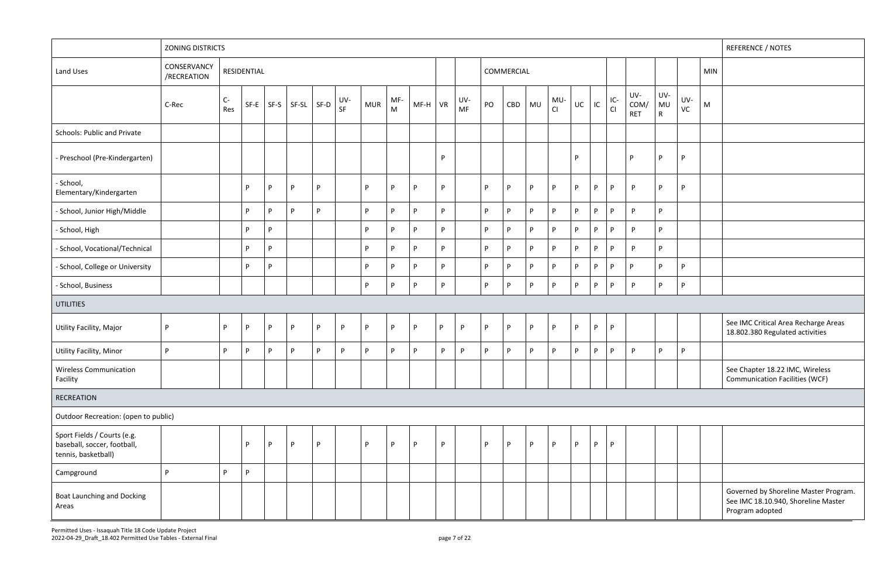|  |  | Governed by Shoreline Master Program.<br>See IMC 18.10.940, Shoreline Master<br>Program adopted |
|--|--|-------------------------------------------------------------------------------------------------|

|                                                                                   | <b>ZONING DISTRICTS</b>    |             |             |      |                |   |           |            |          |           |    |           |    |            |              |           |    |    |             |                           |                           |           |            | <b>REFERENCE / NOTES</b>                                                                        |
|-----------------------------------------------------------------------------------|----------------------------|-------------|-------------|------|----------------|---|-----------|------------|----------|-----------|----|-----------|----|------------|--------------|-----------|----|----|-------------|---------------------------|---------------------------|-----------|------------|-------------------------------------------------------------------------------------------------|
| Land Uses                                                                         | CONSERVANCY<br>/RECREATION |             | RESIDENTIAL |      |                |   |           |            |          |           |    |           |    | COMMERCIAL |              |           |    |    |             |                           |                           |           | <b>MIN</b> |                                                                                                 |
|                                                                                   | C-Rec                      | $C-$<br>Res | $SF-E$      | SF-S | $SF-SL$ $SF-D$ |   | UV-<br>SF | <b>MUR</b> | MF-<br>M | $MF-H$ VR |    | UV-<br>MF | PO | CBD        | MU           | MU·<br>CI | UC | IC | $IC-$<br>CI | UV-<br>COM/<br><b>RET</b> | UV-<br>MU<br>$\mathsf{R}$ | UV-<br>VC | M          |                                                                                                 |
| Schools: Public and Private                                                       |                            |             |             |      |                |   |           |            |          |           |    |           |    |            |              |           |    |    |             |                           |                           |           |            |                                                                                                 |
| - Preschool (Pre-Kindergarten)                                                    |                            |             |             |      |                |   |           |            |          |           | P  |           |    |            |              |           | P  |    |             | <b>P</b>                  | P                         | P         |            |                                                                                                 |
| - School,<br>Elementary/Kindergarten                                              |                            |             | P.          | P    | P              | P |           | P          | <b>P</b> | <b>D</b>  | P  |           | P. | P          | P            | P         | P  | P. | P.          | P                         | P                         | P         |            |                                                                                                 |
| - School, Junior High/Middle                                                      |                            |             | P           | P    | P              | P |           | P.         | <b>P</b> | D         | P  |           | P  | P          | P            | P         | P  | P  | P.          | P.                        | P                         |           |            |                                                                                                 |
| - School, High                                                                    |                            |             | P.          | P.   |                |   |           | P          | D.       | D         | P. |           | P. | P          | P            | P         | P  | P. | P           | P                         | P                         |           |            |                                                                                                 |
| - School, Vocational/Technical                                                    |                            |             | P.          | P.   |                |   |           | P.         | <b>P</b> | D         | P  |           | P. | P          | $\mathsf{P}$ | P         | P  | P  | P.          | P                         | P                         |           |            |                                                                                                 |
| - School, College or University                                                   |                            |             | P           | P.   |                |   |           | P          | D.       | D         | P  |           | P  | P          | P            | P         | P  | P. | P           | D                         | P                         | P.        |            |                                                                                                 |
| - School, Business                                                                |                            |             |             |      |                |   |           | P.         | P        | D         | P  |           | P. | P          | $\mathsf{P}$ | P         | P  | P  | P           | P                         | P                         | P         |            |                                                                                                 |
| <b>UTILITIES</b>                                                                  |                            |             |             |      |                |   |           |            |          |           |    |           |    |            |              |           |    |    |             |                           |                           |           |            |                                                                                                 |
| Utility Facility, Major                                                           | P                          | P.          | P           | P.   | P              | P | P         | P.         | P        | P         | P  | P         | P  | P          | P            | P         | P  | P  | P           |                           |                           |           |            | See IMC Critical Area Recharge Areas<br>18.802.380 Regulated activities                         |
| Utility Facility, Minor                                                           | P                          | P.          | P           | P    | $\mathsf{P}$   | P | P         | P          | P        | P         | P  | P         | P. | P          | $\mathsf{P}$ | P         | P  | P. | P.          | P                         | P                         | P         |            |                                                                                                 |
| <b>Wireless Communication</b><br>Facility                                         |                            |             |             |      |                |   |           |            |          |           |    |           |    |            |              |           |    |    |             |                           |                           |           |            | See Chapter 18.22 IMC, Wireless<br><b>Communication Facilities (WCF)</b>                        |
| RECREATION                                                                        |                            |             |             |      |                |   |           |            |          |           |    |           |    |            |              |           |    |    |             |                           |                           |           |            |                                                                                                 |
| Outdoor Recreation: (open to public)                                              |                            |             |             |      |                |   |           |            |          |           |    |           |    |            |              |           |    |    |             |                           |                           |           |            |                                                                                                 |
| Sport Fields / Courts (e.g.<br>baseball, soccer, football,<br>tennis, basketball) |                            |             | P           | P.   | P              | P |           | P          | P        | P         | P  |           | P  | P          | $\mathsf{P}$ | P         | P  | P  | P           |                           |                           |           |            |                                                                                                 |
| Campground                                                                        | P.                         | D           | P           |      |                |   |           |            |          |           |    |           |    |            |              |           |    |    |             |                           |                           |           |            |                                                                                                 |
| <b>Boat Launching and Docking</b><br>Areas                                        |                            |             |             |      |                |   |           |            |          |           |    |           |    |            |              |           |    |    |             |                           |                           |           |            | Governed by Shoreline Master Program.<br>See IMC 18.10.940, Shoreline Master<br>Program adopted |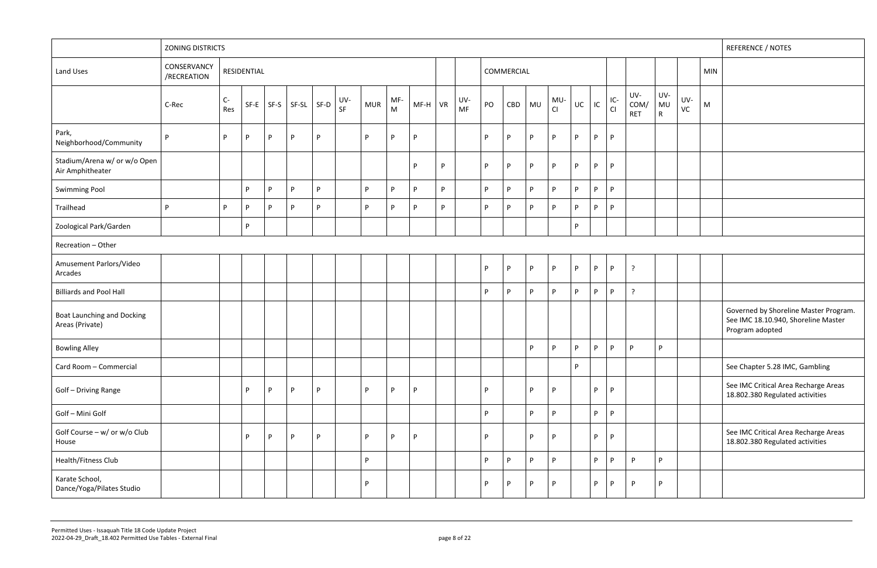|   |  | Governed by Shoreline Master Program.<br>See IMC 18.10.940, Shoreline Master<br>Program adopted |
|---|--|-------------------------------------------------------------------------------------------------|
| P |  |                                                                                                 |
|   |  | See Chapter 5.28 IMC, Gambling                                                                  |
|   |  | See IMC Critical Area Recharge Areas<br>18.802.380 Regulated activities                         |
|   |  |                                                                                                 |
|   |  | See IMC Critical Area Recharge Areas<br>18.802.380 Regulated activities                         |
| P |  |                                                                                                 |
| P |  |                                                                                                 |
|   |  |                                                                                                 |

|                                                      | <b>ZONING DISTRICTS</b>    |           |             |   |                       |    |           |            |          |           |   |                  |    |            |          |           |          |          |             |                           |                           |                      |            | <b>REFERENCE / NOTES</b>                                                                        |
|------------------------------------------------------|----------------------------|-----------|-------------|---|-----------------------|----|-----------|------------|----------|-----------|---|------------------|----|------------|----------|-----------|----------|----------|-------------|---------------------------|---------------------------|----------------------|------------|-------------------------------------------------------------------------------------------------|
| Land Uses                                            | CONSERVANCY<br>/RECREATION |           | RESIDENTIAL |   |                       |    |           |            |          |           |   |                  |    | COMMERCIAL |          |           |          |          |             |                           |                           |                      | <b>MIN</b> |                                                                                                 |
|                                                      | C-Rec                      | C-<br>Res | SF-E        |   | $SF-S$ $SF-SL$ $SF-D$ |    | UV-<br>SF | <b>MUR</b> | MF-<br>M | $MF-H$ VR |   | UV-<br><b>MF</b> | PO | CBD        | MU       | MU-<br>CI | UC       | $\sf IC$ | $IC-$<br>CI | UV-<br>COM/<br><b>RET</b> | UV-<br>MU<br>$\mathsf{R}$ | UV-<br>$\mathsf{VC}$ | M          |                                                                                                 |
| Park,<br>Neighborhood/Community                      | $\mathsf{P}$               | P         | <b>P</b>    | P | P                     | P. |           | P.         | D        | P         |   |                  | P  | <b>P</b>   | <b>P</b> | P         | D        | P        | P           |                           |                           |                      |            |                                                                                                 |
| Stadium/Arena w/ or w/o Open<br>Air Amphitheater     |                            |           |             |   |                       |    |           |            |          | P         | P |                  | P  | P          | P        | P         | P.       | P        | P           |                           |                           |                      |            |                                                                                                 |
| <b>Swimming Pool</b>                                 |                            |           | <b>P</b>    | P | P                     | P. |           | P.         | D        | <b>P</b>  | P |                  | P  | P          | <b>P</b> | <b>P</b>  | D        | P        | P           |                           |                           |                      |            |                                                                                                 |
| Trailhead                                            | P                          | P         | P.          | P | P                     | P. |           | P.         | D        | P.        | P |                  | P  | P          | P.       | P         | P.       | P        | P.          |                           |                           |                      |            |                                                                                                 |
| Zoological Park/Garden                               |                            |           | P           |   |                       |    |           |            |          |           |   |                  |    |            |          |           | P        |          |             |                           |                           |                      |            |                                                                                                 |
| Recreation - Other                                   |                            |           |             |   |                       |    |           |            |          |           |   |                  |    |            |          |           |          |          |             |                           |                           |                      |            |                                                                                                 |
| Amusement Parlors/Video<br>Arcades                   |                            |           |             |   |                       |    |           |            |          |           |   |                  | P  | P          | P        | P         | P        | P        | P           | $\cdot$                   |                           |                      |            |                                                                                                 |
| <b>Billiards and Pool Hall</b>                       |                            |           |             |   |                       |    |           |            |          |           |   |                  | P  | P          | P.       | P         | <b>D</b> | P        | P           | $\mathcal{L}$             |                           |                      |            |                                                                                                 |
| <b>Boat Launching and Docking</b><br>Areas (Private) |                            |           |             |   |                       |    |           |            |          |           |   |                  |    |            |          |           |          |          |             |                           |                           |                      |            | Governed by Shoreline Master Program.<br>See IMC 18.10.940, Shoreline Master<br>Program adopted |
| <b>Bowling Alley</b>                                 |                            |           |             |   |                       |    |           |            |          |           |   |                  |    |            | P        | P         | D        | P        | P           | Þ                         | P                         |                      |            |                                                                                                 |
| Card Room - Commercial                               |                            |           |             |   |                       |    |           |            |          |           |   |                  |    |            |          |           | P        |          |             |                           |                           |                      |            | See Chapter 5.28 IMC, Gambling                                                                  |
| Golf - Driving Range                                 |                            |           | P           | P | P                     | P. |           | P.         | D        | P         |   |                  | P  |            | P        | P.        |          | P        | P           |                           |                           |                      |            | See IMC Critical Area Recharge Areas<br>18.802.380 Regulated activities                         |
| Golf - Mini Golf                                     |                            |           |             |   |                       |    |           |            |          |           |   |                  | P  |            | P        | P         |          | P        | P           |                           |                           |                      |            |                                                                                                 |
| Golf Course - w/ or w/o Club<br>House                |                            |           | P           | P | P                     | P. |           | P          | P        | P         |   |                  | P  |            | P.       | P         |          | P        | P           |                           |                           |                      |            | See IMC Critical Area Recharge Areas<br>18.802.380 Regulated activities                         |
| Health/Fitness Club                                  |                            |           |             |   |                       |    |           | P.         |          |           |   |                  | P  | P          | P        | P         |          | P        | <b>D</b>    | P.                        | P                         |                      |            |                                                                                                 |
| Karate School,<br>Dance/Yoga/Pilates Studio          |                            |           |             |   |                       |    |           | P          |          |           |   |                  | P  | P          | P        | P         |          | P        | P           | P                         | P                         |                      |            |                                                                                                 |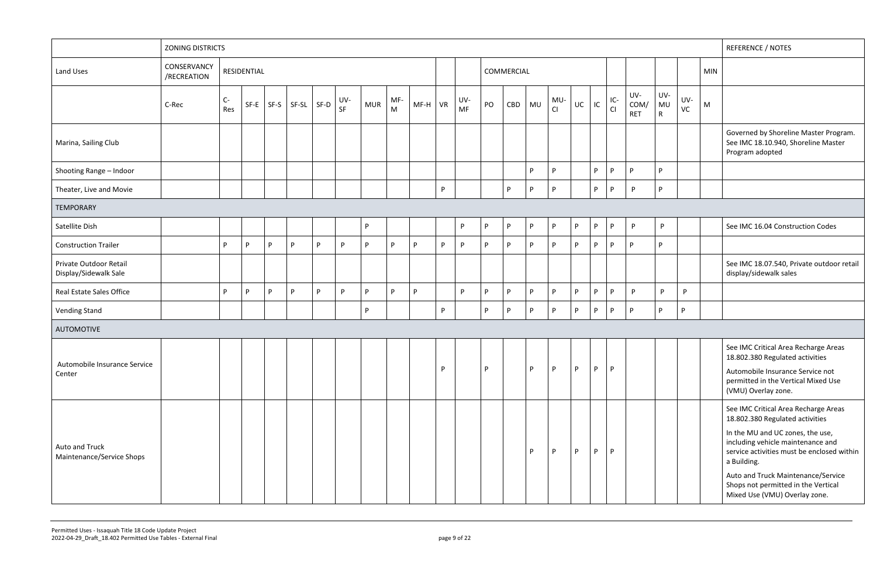|                                                 | <b>ZONING DISTRICTS</b>    |             |             |      |       |      |           |            |                  |        |           |                  |    |            |              |           |          |    |             |                           |                           |           |            | <b>REFERENCE / NOTES</b>                                                                                                                                                                                                                                                                                                    |
|-------------------------------------------------|----------------------------|-------------|-------------|------|-------|------|-----------|------------|------------------|--------|-----------|------------------|----|------------|--------------|-----------|----------|----|-------------|---------------------------|---------------------------|-----------|------------|-----------------------------------------------------------------------------------------------------------------------------------------------------------------------------------------------------------------------------------------------------------------------------------------------------------------------------|
| Land Uses                                       | CONSERVANCY<br>/RECREATION |             | RESIDENTIAL |      |       |      |           |            |                  |        |           |                  |    | COMMERCIAL |              |           |          |    |             |                           |                           |           | <b>MIN</b> |                                                                                                                                                                                                                                                                                                                             |
|                                                 | C-Rec                      | $C-$<br>Res | $SF-E$      | SF-S | SF-SL | SF-D | UV-<br>SF | <b>MUR</b> | MF-<br>${\sf M}$ | $MF-H$ | <b>VR</b> | UV-<br><b>MF</b> | PO | CBD        | <b>MU</b>    | MU-<br>CI | UC       | IC | $IC-$<br>CI | UV-<br>COM/<br><b>RET</b> | UV-<br>MU<br>$\mathsf{R}$ | UV-<br>VC | M          |                                                                                                                                                                                                                                                                                                                             |
| Marina, Sailing Club                            |                            |             |             |      |       |      |           |            |                  |        |           |                  |    |            |              |           |          |    |             |                           |                           |           |            | Governed by Shoreline Master Program.<br>See IMC 18.10.940, Shoreline Master<br>Program adopted                                                                                                                                                                                                                             |
| Shooting Range - Indoor                         |                            |             |             |      |       |      |           |            |                  |        |           |                  |    |            | P            | P         |          | P. | D.          | D                         | P.                        |           |            |                                                                                                                                                                                                                                                                                                                             |
| Theater, Live and Movie                         |                            |             |             |      |       |      |           |            |                  |        | P         |                  |    | P          | P            | P         |          | P. | <b>P</b>    | P                         | P                         |           |            |                                                                                                                                                                                                                                                                                                                             |
| TEMPORARY                                       |                            |             |             |      |       |      |           |            |                  |        |           |                  |    |            |              |           |          |    |             |                           |                           |           |            |                                                                                                                                                                                                                                                                                                                             |
| Satellite Dish                                  |                            |             |             |      |       |      |           | P          |                  |        |           | P                | P  | P          | P            | P         | P        | P  | P           | P                         | P                         |           |            | See IMC 16.04 Construction Codes                                                                                                                                                                                                                                                                                            |
| <b>Construction Trailer</b>                     |                            | P           | P           | D    | P     | P.   | <b>P</b>  | P          | P                | D      | P         | P.               | P. | P.         | P            | P         | P        | P. | P           | D                         | P                         |           |            |                                                                                                                                                                                                                                                                                                                             |
| Private Outdoor Retail<br>Display/Sidewalk Sale |                            |             |             |      |       |      |           |            |                  |        |           |                  |    |            |              |           |          |    |             |                           |                           |           |            | See IMC 18.07.540, Private outdoor retail<br>display/sidewalk sales                                                                                                                                                                                                                                                         |
| Real Estate Sales Office                        |                            | P           | P           | D    | P     | P.   | <b>P</b>  | P          | D                | D      |           | P.               | P  | P          | P            | P         | P.       | P  | P           | P                         | $\mathsf{P}$              | P.        |            |                                                                                                                                                                                                                                                                                                                             |
| <b>Vending Stand</b>                            |                            |             |             |      |       |      |           | P          |                  |        | P         |                  | P  | P          | $\mathsf{P}$ | P         | P        | P  | P           | <b>P</b>                  | P                         | P         |            |                                                                                                                                                                                                                                                                                                                             |
| <b>AUTOMOTIVE</b>                               |                            |             |             |      |       |      |           |            |                  |        |           |                  |    |            |              |           |          |    |             |                           |                           |           |            |                                                                                                                                                                                                                                                                                                                             |
| Automobile Insurance Service<br>Center          |                            |             |             |      |       |      |           |            |                  |        | P         |                  | P  |            | P            | P         | <b>P</b> | P. | P           |                           |                           |           |            | See IMC Critical Area Recharge Areas<br>18.802.380 Regulated activities<br>Automobile Insurance Service not<br>permitted in the Vertical Mixed Use<br>(VMU) Overlay zone.                                                                                                                                                   |
| Auto and Truck<br>Maintenance/Service Shops     |                            |             |             |      |       |      |           |            |                  |        |           |                  |    |            | P            | P         | P        | P. | P.          |                           |                           |           |            | See IMC Critical Area Recharge Areas<br>18.802.380 Regulated activities<br>In the MU and UC zones, the use,<br>including vehicle maintenance and<br>service activities must be enclosed within<br>a Building.<br>Auto and Truck Maintenance/Service<br>Shops not permitted in the Vertical<br>Mixed Use (VMU) Overlay zone. |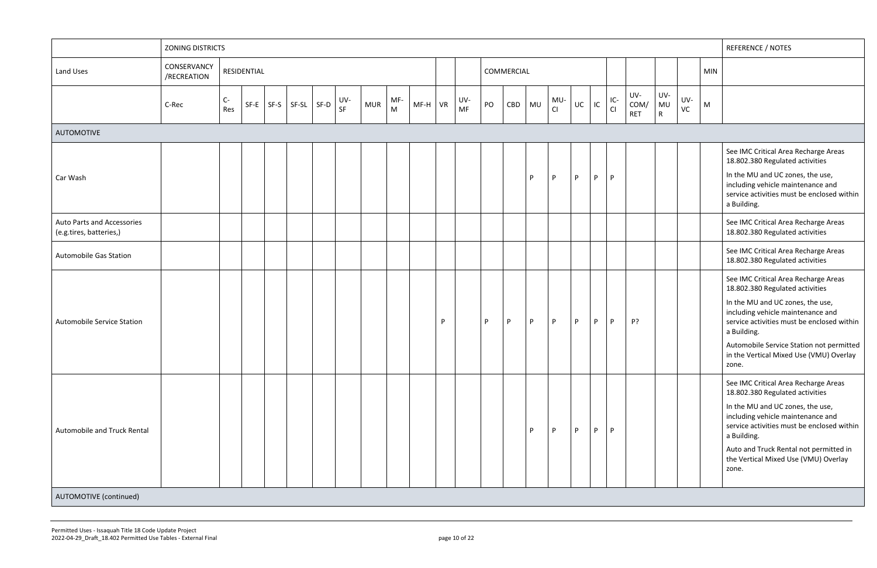|                                                       | <b>ZONING DISTRICTS</b>    |             |             |        |                |           |            |                                                                                              |           |                  |    |            |    |           |    |    |           |                           |                             |           |            | REFERENCE / NOTES                                                                                                                                                                                                                                       |
|-------------------------------------------------------|----------------------------|-------------|-------------|--------|----------------|-----------|------------|----------------------------------------------------------------------------------------------|-----------|------------------|----|------------|----|-----------|----|----|-----------|---------------------------|-----------------------------|-----------|------------|---------------------------------------------------------------------------------------------------------------------------------------------------------------------------------------------------------------------------------------------------------|
| Land Uses                                             | CONSERVANCY<br>/RECREATION |             | RESIDENTIAL |        |                |           |            |                                                                                              |           |                  |    | COMMERCIAL |    |           |    |    |           |                           |                             |           | <b>MIN</b> |                                                                                                                                                                                                                                                         |
|                                                       | C-Rec                      | $C-$<br>Res | $SF-E$      | $SF-S$ | $SF-SL$ $SF-D$ | UV-<br>SF | <b>MUR</b> | MF-<br>$\mathsf{M}% _{T}=\mathsf{M}_{T}\!\left( a,b\right) ,\ \mathsf{M}_{T}=\mathsf{M}_{T}$ | $MF-H$ VR | UV-<br><b>MF</b> | PO | CBD        | MU | MU-<br>CI | UC | IC | IC-<br>Cl | UV-<br>COM/<br><b>RET</b> | UV-<br>MU<br>$\mathsf{R}^-$ | UV-<br>VC | M          |                                                                                                                                                                                                                                                         |
| <b>AUTOMOTIVE</b>                                     |                            |             |             |        |                |           |            |                                                                                              |           |                  |    |            |    |           |    |    |           |                           |                             |           |            |                                                                                                                                                                                                                                                         |
|                                                       |                            |             |             |        |                |           |            |                                                                                              |           |                  |    |            |    |           |    |    |           |                           |                             |           |            | See IMC Critical Area Recharge Areas<br>18.802.380 Regulated activities                                                                                                                                                                                 |
| Car Wash                                              |                            |             |             |        |                |           |            |                                                                                              |           |                  |    |            | P. | P         | P  | P  | P         |                           |                             |           |            | In the MU and UC zones, the use,<br>including vehicle maintenance and<br>service activities must be enclosed within<br>a Building.                                                                                                                      |
| Auto Parts and Accessories<br>(e.g.tires, batteries,) |                            |             |             |        |                |           |            |                                                                                              |           |                  |    |            |    |           |    |    |           |                           |                             |           |            | See IMC Critical Area Recharge Areas<br>18.802.380 Regulated activities                                                                                                                                                                                 |
| <b>Automobile Gas Station</b>                         |                            |             |             |        |                |           |            |                                                                                              |           |                  |    |            |    |           |    |    |           |                           |                             |           |            | See IMC Critical Area Recharge Areas<br>18.802.380 Regulated activities                                                                                                                                                                                 |
|                                                       |                            |             |             |        |                |           |            |                                                                                              |           |                  |    |            |    |           |    |    |           |                           |                             |           |            | See IMC Critical Area Recharge Areas<br>18.802.380 Regulated activities<br>In the MU and UC zones, the use,<br>including vehicle maintenance and                                                                                                        |
| Automobile Service Station                            |                            |             |             |        |                |           |            |                                                                                              | P         |                  | P. | P          | P  | P         | P  | P  | P         | P?                        |                             |           |            | service activities must be enclosed within<br>a Building.<br>Automobile Service Station not permitted<br>in the Vertical Mixed Use (VMU) Overlay<br>zone.                                                                                               |
| Automobile and Truck Rental                           |                            |             |             |        |                |           |            |                                                                                              |           |                  |    |            | P. | P         | P  | P. | P         |                           |                             |           |            | See IMC Critical Area Recharge Areas<br>18.802.380 Regulated activities<br>In the MU and UC zones, the use,<br>including vehicle maintenance and<br>service activities must be enclosed within<br>a Building.<br>Auto and Truck Rental not permitted in |
| AUTOMOTIVE (continued)                                |                            |             |             |        |                |           |            |                                                                                              |           |                  |    |            |    |           |    |    |           |                           |                             |           |            | the Vertical Mixed Use (VMU) Overlay<br>zone.                                                                                                                                                                                                           |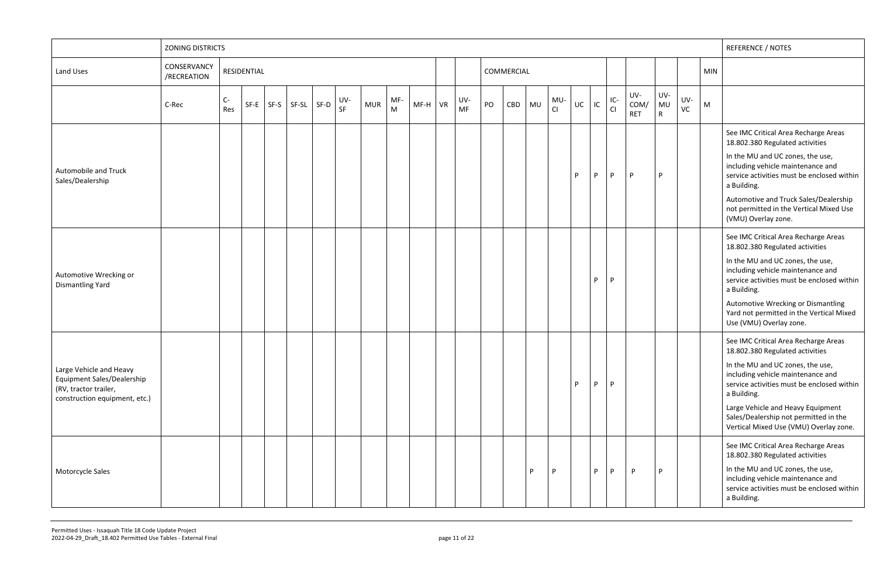|                                                                                                                        | <b>ZONING DISTRICTS</b>    |             |             |      |       |                   |            |          |           |                  |    |            |    |           |    |    |             |                          |                             |           |            | <b>REFERENCE / NOTES</b>                                                                                                                                                                                                                                                                                                              |
|------------------------------------------------------------------------------------------------------------------------|----------------------------|-------------|-------------|------|-------|-------------------|------------|----------|-----------|------------------|----|------------|----|-----------|----|----|-------------|--------------------------|-----------------------------|-----------|------------|---------------------------------------------------------------------------------------------------------------------------------------------------------------------------------------------------------------------------------------------------------------------------------------------------------------------------------------|
| Land Uses                                                                                                              | CONSERVANCY<br>/RECREATION |             | RESIDENTIAL |      |       |                   |            |          |           |                  |    | COMMERCIAL |    |           |    |    |             |                          |                             |           | <b>MIN</b> |                                                                                                                                                                                                                                                                                                                                       |
|                                                                                                                        | C-Rec                      | $C-$<br>Res | $SF-E$      | SF-S | SF-SL | UV-<br>SF<br>SF-D | <b>MUR</b> | MF-<br>M | $MF-H$ VR | UV-<br><b>MF</b> | PO | CBD        | MU | MU-<br>CI | UC | IC | $IC-$<br>CI | UV-<br>COM<br><b>RET</b> | UV-<br>MU<br>$\mathsf{R}^-$ | UV-<br>VC | M          |                                                                                                                                                                                                                                                                                                                                       |
| Automobile and Truck<br>Sales/Dealership                                                                               |                            |             |             |      |       |                   |            |          |           |                  |    |            |    |           | P  | P  | P           | P                        | P                           |           |            | See IMC Critical Area Recharge Areas<br>18.802.380 Regulated activities<br>In the MU and UC zones, the use,<br>including vehicle maintenance and<br>service activities must be enclosed within<br>a Building.<br>Automotive and Truck Sales/Dealership                                                                                |
|                                                                                                                        |                            |             |             |      |       |                   |            |          |           |                  |    |            |    |           |    |    |             |                          |                             |           |            | not permitted in the Vertical Mixed Use<br>(VMU) Overlay zone.                                                                                                                                                                                                                                                                        |
| Automotive Wrecking or<br><b>Dismantling Yard</b>                                                                      |                            |             |             |      |       |                   |            |          |           |                  |    |            |    |           |    | P  | P           |                          |                             |           |            | See IMC Critical Area Recharge Areas<br>18.802.380 Regulated activities<br>In the MU and UC zones, the use,<br>including vehicle maintenance and<br>service activities must be enclosed within<br>a Building.<br>Automotive Wrecking or Dismantling<br>Yard not permitted in the Vertical Mixed<br>Use (VMU) Overlay zone.            |
| Large Vehicle and Heavy<br><b>Equipment Sales/Dealership</b><br>(RV, tractor trailer,<br>construction equipment, etc.) |                            |             |             |      |       |                   |            |          |           |                  |    |            |    |           | P  | P  | P           |                          |                             |           |            | See IMC Critical Area Recharge Areas<br>18.802.380 Regulated activities<br>In the MU and UC zones, the use,<br>including vehicle maintenance and<br>service activities must be enclosed within<br>a Building.<br>Large Vehicle and Heavy Equipment<br>Sales/Dealership not permitted in the<br>Vertical Mixed Use (VMU) Overlay zone. |
| Motorcycle Sales                                                                                                       |                            |             |             |      |       |                   |            |          |           |                  |    |            | D  | P         |    | P. | P           | P                        | <b>D</b>                    |           |            | See IMC Critical Area Recharge Areas<br>18.802.380 Regulated activities<br>In the MU and UC zones, the use,<br>including vehicle maintenance and<br>service activities must be enclosed within<br>a Building.                                                                                                                         |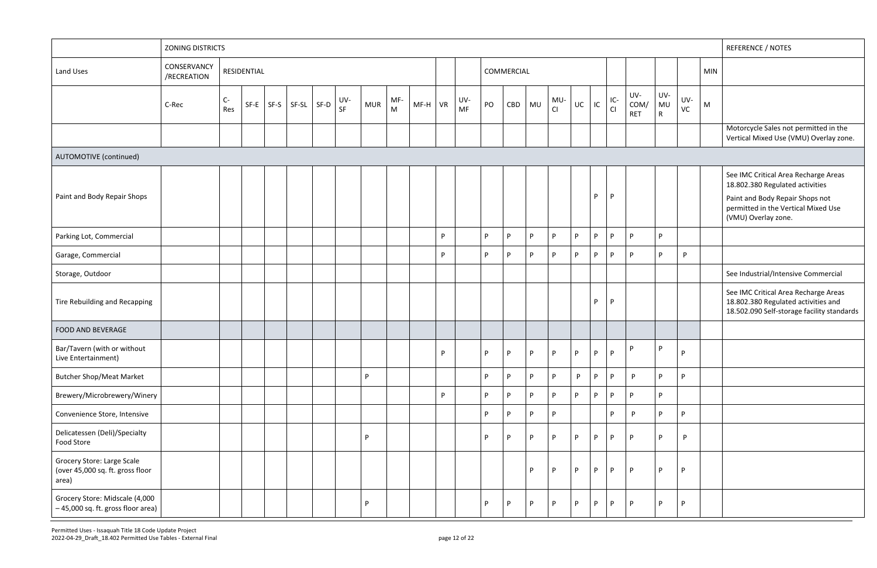|                                                                         | <b>ZONING DISTRICTS</b>    |           |             |             |                |           |            |          |           |    |           |    |            |    |           |    |    |             |                           |                                  |              |            | <b>REFERENCE / NOTES</b>                                                                                                                                                 |
|-------------------------------------------------------------------------|----------------------------|-----------|-------------|-------------|----------------|-----------|------------|----------|-----------|----|-----------|----|------------|----|-----------|----|----|-------------|---------------------------|----------------------------------|--------------|------------|--------------------------------------------------------------------------------------------------------------------------------------------------------------------------|
| Land Uses                                                               | CONSERVANCY<br>/RECREATION |           | RESIDENTIAL |             |                |           |            |          |           |    |           |    | COMMERCIAL |    |           |    |    |             |                           |                                  |              | <b>MIN</b> |                                                                                                                                                                          |
|                                                                         | C-Rec                      | C-<br>Res |             | $SF-E$ SF-S | $SF-SL$ $SF-D$ | UV-<br>SF | <b>MUR</b> | MF-<br>M | $MF-H$ VR |    | UV-<br>MF | PO | CBD        | MU | MU-<br>CI | UC | IC | $IC-$<br>CI | UV-<br>COM/<br><b>RET</b> | UV-<br><b>MU</b><br>$\mathsf{R}$ | UV-<br>VC    | M          |                                                                                                                                                                          |
|                                                                         |                            |           |             |             |                |           |            |          |           |    |           |    |            |    |           |    |    |             |                           |                                  |              |            | Motorcycle Sales not permitted in the<br>Vertical Mixed Use (VMU) Overlay zone.                                                                                          |
| AUTOMOTIVE (continued)                                                  |                            |           |             |             |                |           |            |          |           |    |           |    |            |    |           |    |    |             |                           |                                  |              |            |                                                                                                                                                                          |
| Paint and Body Repair Shops                                             |                            |           |             |             |                |           |            |          |           |    |           |    |            |    |           |    | P. | P           |                           |                                  |              |            | See IMC Critical Area Recharge Areas<br>18.802.380 Regulated activities<br>Paint and Body Repair Shops not<br>permitted in the Vertical Mixed Use<br>(VMU) Overlay zone. |
| Parking Lot, Commercial                                                 |                            |           |             |             |                |           |            |          |           | P  |           | P. | P          | P  | <b>P</b>  | P. | P. | P           | D                         | P                                |              |            |                                                                                                                                                                          |
| Garage, Commercial                                                      |                            |           |             |             |                |           |            |          |           | P  |           | P  | P          | P  | P         | P  | P. | P           | D                         | P                                | P.           |            |                                                                                                                                                                          |
| Storage, Outdoor                                                        |                            |           |             |             |                |           |            |          |           |    |           |    |            |    |           |    |    |             |                           |                                  |              |            | See Industrial/Intensive Commercial                                                                                                                                      |
| Tire Rebuilding and Recapping                                           |                            |           |             |             |                |           |            |          |           |    |           |    |            |    |           |    | P  | P           |                           |                                  |              |            | See IMC Critical Area Recharge Areas<br>18.802.380 Regulated activities and<br>18.502.090 Self-storage facility standards                                                |
| FOOD AND BEVERAGE                                                       |                            |           |             |             |                |           |            |          |           |    |           |    |            |    |           |    |    |             |                           |                                  |              |            |                                                                                                                                                                          |
| Bar/Tavern (with or without<br>Live Entertainment)                      |                            |           |             |             |                |           |            |          |           | P  |           | P  | P          | P  | P         | P  | P  | P           | D                         | P                                | P            |            |                                                                                                                                                                          |
| <b>Butcher Shop/Meat Market</b>                                         |                            |           |             |             |                |           | P          |          |           |    |           | P. | P          | P  | P         | P. | P  | P           | P                         | P.                               | P            |            |                                                                                                                                                                          |
| Brewery/Microbrewery/Winery                                             |                            |           |             |             |                |           |            |          |           | P. |           | P. | P          | P  | <b>P</b>  | P  | P  | P           | D                         | P                                |              |            |                                                                                                                                                                          |
| Convenience Store, Intensive                                            |                            |           |             |             |                |           |            |          |           |    |           | P  | P          | P  | P         |    |    | P           | D                         | P.                               | P.           |            |                                                                                                                                                                          |
| Delicatessen (Deli)/Specialty<br>Food Store                             |                            |           |             |             |                |           | P          |          |           |    |           | P. | P          | P  | P         | P  | P  | P           | P                         | P.                               | $\mathsf{P}$ |            |                                                                                                                                                                          |
| Grocery Store: Large Scale<br>(over 45,000 sq. ft. gross floor<br>area) |                            |           |             |             |                |           |            |          |           |    |           |    |            | P  | P         | P  | P  | P           | P.                        | P                                | P.           |            |                                                                                                                                                                          |
| Grocery Store: Midscale (4,000<br>-45,000 sq. ft. gross floor area)     |                            |           |             |             |                |           | P          |          |           |    |           | P. | P          | P  | P         | P  | P  | P           | P                         | P                                | P.           |            |                                                                                                                                                                          |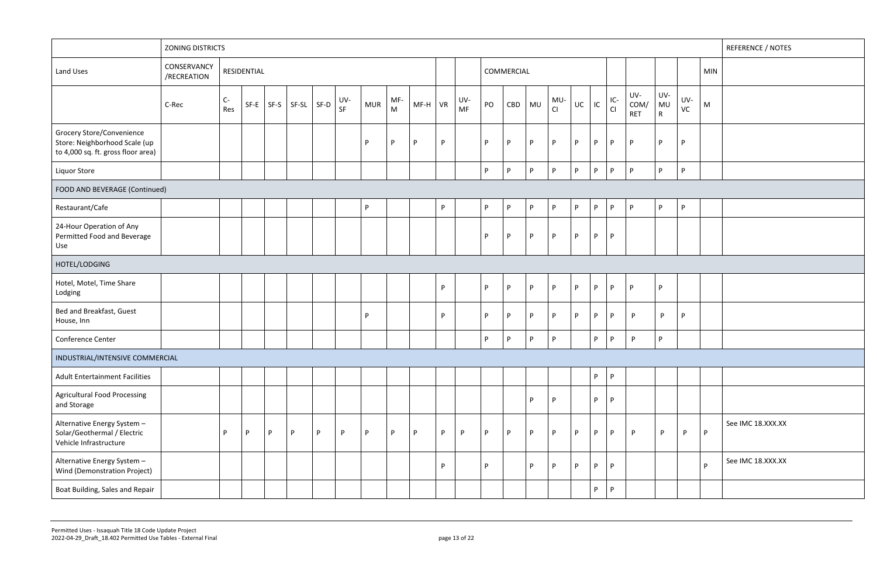|                                                                                                         | <b>ZONING DISTRICTS</b>    |           |             |   |                |   |           |            |                                                                                                                   |         |    |                  |          |            |          |              |              |                |              |                           |                           |              | <b>REFERENCE / NOTES</b>          |
|---------------------------------------------------------------------------------------------------------|----------------------------|-----------|-------------|---|----------------|---|-----------|------------|-------------------------------------------------------------------------------------------------------------------|---------|----|------------------|----------|------------|----------|--------------|--------------|----------------|--------------|---------------------------|---------------------------|--------------|-----------------------------------|
| Land Uses                                                                                               | CONSERVANCY<br>/RECREATION |           | RESIDENTIAL |   |                |   |           |            |                                                                                                                   |         |    |                  |          | COMMERCIAL |          |              |              |                |              |                           |                           |              | <b>MIN</b>                        |
|                                                                                                         | C-Rec                      | C-<br>Res | $SF-E$ SF-S |   | $SF-SL$ $SF-D$ |   | UV-<br>SF | <b>MUR</b> | MF-<br>$\mathsf{M}% _{T}=\mathsf{M}_{T}\!\left( a,b\right) ,\ \mathsf{M}_{T}=\mathsf{M}_{T}\!\left( a,b\right) ,$ | MF-H VR |    | UV-<br><b>MF</b> | PO       | CBD        | MU       | MU-<br>Cl    | UC           | IC             | IC-<br>Cl    | UV-<br>COM/<br><b>RET</b> | UV-<br>MU<br>$\mathsf{R}$ | UV-<br>VC    | ${\sf M}$                         |
| <b>Grocery Store/Convenience</b><br>Store: Neighborhood Scale (up<br>to 4,000 sq. ft. gross floor area) |                            |           |             |   |                |   |           | P          | P                                                                                                                 | P       | P  |                  | P.       | P          | P        | P            | P            | P              | P.           | P                         | P                         | P            |                                   |
| Liquor Store                                                                                            |                            |           |             |   |                |   |           |            |                                                                                                                   |         |    |                  | P.       | P          | P        | P            | $\mathsf{P}$ | P              | P.           | P                         | P.                        | P            |                                   |
| FOOD AND BEVERAGE (Continued)                                                                           |                            |           |             |   |                |   |           |            |                                                                                                                   |         |    |                  |          |            |          |              |              |                |              |                           |                           |              |                                   |
| Restaurant/Cafe                                                                                         |                            |           |             |   |                |   |           | P.         |                                                                                                                   |         | P. |                  | P.       | P          | P        | P            | P            | P              | P            | P                         | P.                        | P            |                                   |
| 24-Hour Operation of Any<br>Permitted Food and Beverage<br>Use                                          |                            |           |             |   |                |   |           |            |                                                                                                                   |         |    |                  | D        | P          | P.       | P            | P            | P              | P            |                           |                           |              |                                   |
| HOTEL/LODGING                                                                                           |                            |           |             |   |                |   |           |            |                                                                                                                   |         |    |                  |          |            |          |              |              |                |              |                           |                           |              |                                   |
| Hotel, Motel, Time Share<br>Lodging                                                                     |                            |           |             |   |                |   |           |            |                                                                                                                   |         | P. |                  | <b>D</b> | P          | <b>P</b> | P            | P            | P              | P.           | P                         | P.                        |              |                                   |
| Bed and Breakfast, Guest<br>House, Inn                                                                  |                            |           |             |   |                |   |           | P          |                                                                                                                   |         | P  |                  | <b>p</b> | P          | P        | P            | P            | P              | P            | P.                        | $\mathsf{P}$              | P            |                                   |
| Conference Center                                                                                       |                            |           |             |   |                |   |           |            |                                                                                                                   |         |    |                  | P.       | P          | P        | P            |              | P.             | P            | P                         | D.                        |              |                                   |
| INDUSTRIAL/INTENSIVE COMMERCIAL                                                                         |                            |           |             |   |                |   |           |            |                                                                                                                   |         |    |                  |          |            |          |              |              |                |              |                           |                           |              |                                   |
| <b>Adult Entertainment Facilities</b>                                                                   |                            |           |             |   |                |   |           |            |                                                                                                                   |         |    |                  |          |            |          |              |              | P <sub>1</sub> | $\mathsf{P}$ |                           |                           |              |                                   |
| <b>Agricultural Food Processing</b><br>and Storage                                                      |                            |           |             |   |                |   |           |            |                                                                                                                   |         |    |                  |          |            | P.       | P            |              | P              | P            |                           |                           |              |                                   |
| Alternative Energy System -<br>Solar/Geothermal / Electric<br>Vehicle Infrastructure                    |                            | P         | P           | P | P              | P | P         | P.         | P                                                                                                                 | P       | P  | P                | P        | P          | P        | $\mathsf{P}$ | P            | P              | P            | P                         | $\mathsf{P}$              | $\mathsf{P}$ | See IMC 18.XXX.XX<br>$\mathsf{P}$ |
| Alternative Energy System -<br>Wind (Demonstration Project)                                             |                            |           |             |   |                |   |           |            |                                                                                                                   |         | P. |                  | D        |            | P        | P            | P            | P              | P            |                           |                           |              | See IMC 18.XXX.XX<br>P            |
| Boat Building, Sales and Repair                                                                         |                            |           |             |   |                |   |           |            |                                                                                                                   |         |    |                  |          |            |          |              |              | P              | P.           |                           |                           |              |                                   |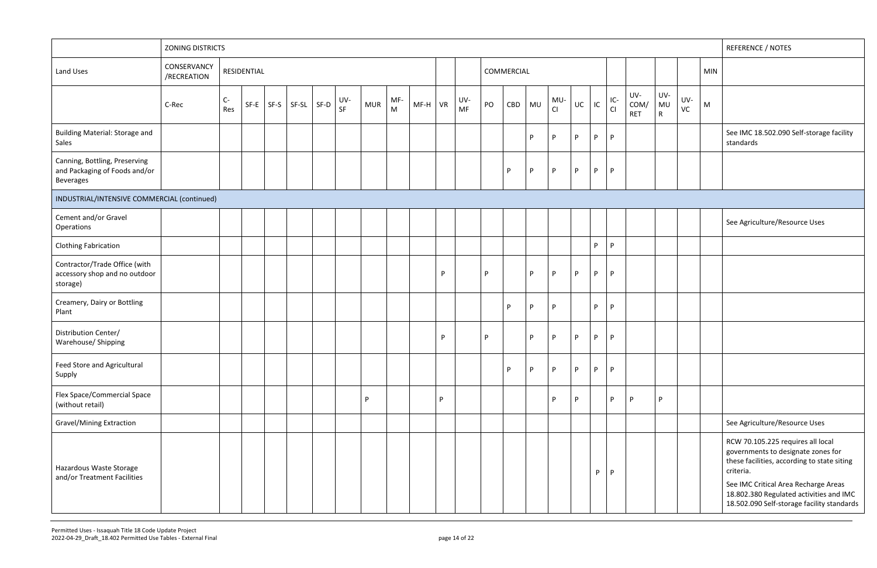|                                                                                    | <b>ZONING DISTRICTS</b>    |             |             |                               |           |            |          |           |    |                  |    |            |           |           |    |    |             |                           |                           |           |            | <b>REFERENCE / NOTES</b>                                                                                                                                                                                                                                             |
|------------------------------------------------------------------------------------|----------------------------|-------------|-------------|-------------------------------|-----------|------------|----------|-----------|----|------------------|----|------------|-----------|-----------|----|----|-------------|---------------------------|---------------------------|-----------|------------|----------------------------------------------------------------------------------------------------------------------------------------------------------------------------------------------------------------------------------------------------------------------|
| Land Uses                                                                          | CONSERVANCY<br>/RECREATION |             | RESIDENTIAL |                               |           |            |          |           |    |                  |    | COMMERCIAL |           |           |    |    |             |                           |                           |           | <b>MIN</b> |                                                                                                                                                                                                                                                                      |
|                                                                                    | C-Rec                      | $C-$<br>Res |             | $SF-E$ $SF-SI$ $SF-SL$ $SF-D$ | UV-<br>SF | <b>MUR</b> | MF-<br>M | $MF-H$ VR |    | UV-<br><b>MF</b> | PO | CBD        | <b>MU</b> | MU-<br>CI | UC | IC | $IC-$<br>CI | UV-<br>COM/<br><b>RET</b> | UV-<br>MU<br>$\mathsf{R}$ | UV-<br>VC | M          |                                                                                                                                                                                                                                                                      |
| Building Material: Storage and<br>Sales                                            |                            |             |             |                               |           |            |          |           |    |                  |    |            | P         | P         | P  | P  | P.          |                           |                           |           |            | See IMC 18.502.090 Self-storage facility<br>standards                                                                                                                                                                                                                |
| Canning, Bottling, Preserving<br>and Packaging of Foods and/or<br><b>Beverages</b> |                            |             |             |                               |           |            |          |           |    |                  |    | P          | P         | P         | P  | P  | P           |                           |                           |           |            |                                                                                                                                                                                                                                                                      |
| INDUSTRIAL/INTENSIVE COMMERCIAL (continued)                                        |                            |             |             |                               |           |            |          |           |    |                  |    |            |           |           |    |    |             |                           |                           |           |            |                                                                                                                                                                                                                                                                      |
| Cement and/or Gravel<br>Operations                                                 |                            |             |             |                               |           |            |          |           |    |                  |    |            |           |           |    |    |             |                           |                           |           |            | See Agriculture/Resource Uses                                                                                                                                                                                                                                        |
| <b>Clothing Fabrication</b>                                                        |                            |             |             |                               |           |            |          |           |    |                  |    |            |           |           |    | P. | P           |                           |                           |           |            |                                                                                                                                                                                                                                                                      |
| Contractor/Trade Office (with<br>accessory shop and no outdoor<br>storage)         |                            |             |             |                               |           |            |          |           | P  |                  | P  |            | P         | P         | P  | P  | P.          |                           |                           |           |            |                                                                                                                                                                                                                                                                      |
| Creamery, Dairy or Bottling<br>Plant                                               |                            |             |             |                               |           |            |          |           |    |                  |    | P          | P         | P         |    | P. | P           |                           |                           |           |            |                                                                                                                                                                                                                                                                      |
| Distribution Center/<br>Warehouse/ Shipping                                        |                            |             |             |                               |           |            |          |           | P  |                  | P  |            | P         | P         | P  | P  | P           |                           |                           |           |            |                                                                                                                                                                                                                                                                      |
| Feed Store and Agricultural<br>Supply                                              |                            |             |             |                               |           |            |          |           |    |                  |    | P          | P         | P         | P  | P  | P.          |                           |                           |           |            |                                                                                                                                                                                                                                                                      |
| Flex Space/Commercial Space<br>(without retail)                                    |                            |             |             |                               |           | P          |          |           | P. |                  |    |            |           | P         | P  |    | P           |                           | P                         |           |            |                                                                                                                                                                                                                                                                      |
| <b>Gravel/Mining Extraction</b>                                                    |                            |             |             |                               |           |            |          |           |    |                  |    |            |           |           |    |    |             |                           |                           |           |            | See Agriculture/Resource Uses                                                                                                                                                                                                                                        |
| Hazardous Waste Storage<br>and/or Treatment Facilities                             |                            |             |             |                               |           |            |          |           |    |                  |    |            |           |           |    | P. | P           |                           |                           |           |            | RCW 70.105.225 requires all local<br>governments to designate zones for<br>these facilities, according to state siting<br>criteria.<br>See IMC Critical Area Recharge Areas<br>18.802.380 Regulated activities and IMC<br>18.502.090 Self-storage facility standards |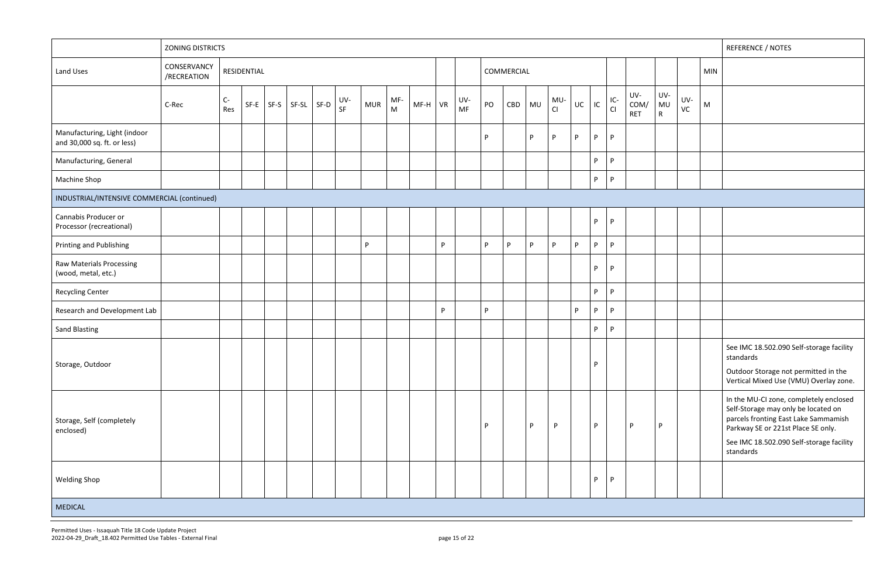|                                                             | ZONING DISTRICTS           |           |             |                       |           |            |                     |           |   |           |    |            |              |           |    |    |             |                           |                           |           | <b>REFERENCE / NOTES</b>                                                                                                                                                                                             |
|-------------------------------------------------------------|----------------------------|-----------|-------------|-----------------------|-----------|------------|---------------------|-----------|---|-----------|----|------------|--------------|-----------|----|----|-------------|---------------------------|---------------------------|-----------|----------------------------------------------------------------------------------------------------------------------------------------------------------------------------------------------------------------------|
| Land Uses                                                   | CONSERVANCY<br>/RECREATION |           | RESIDENTIAL |                       |           |            |                     |           |   |           |    | COMMERCIAL |              |           |    |    |             |                           |                           |           | <b>MIN</b>                                                                                                                                                                                                           |
|                                                             | C-Rec                      | C-<br>Res |             | $SF-E$ $SF-SI$ $SF-D$ | UV-<br>SF | <b>MUR</b> | MF-<br>$\mathsf{M}$ | $MF-H$ VR |   | UV-<br>MF | PO | CBD        | MU           | MU-<br>CI | UC | IC | $IC-$<br>CI | UV-<br>COM/<br><b>RET</b> | UV-<br>MU<br>$\mathsf{R}$ | UV-<br>VC | M                                                                                                                                                                                                                    |
| Manufacturing, Light (indoor<br>and 30,000 sq. ft. or less) |                            |           |             |                       |           |            |                     |           |   |           | P  |            | P            | P         | P  | P  | P           |                           |                           |           |                                                                                                                                                                                                                      |
| Manufacturing, General                                      |                            |           |             |                       |           |            |                     |           |   |           |    |            |              |           |    | P. | P           |                           |                           |           |                                                                                                                                                                                                                      |
| Machine Shop                                                |                            |           |             |                       |           |            |                     |           |   |           |    |            |              |           |    | P  | P           |                           |                           |           |                                                                                                                                                                                                                      |
| INDUSTRIAL/INTENSIVE COMMERCIAL (continued)                 |                            |           |             |                       |           |            |                     |           |   |           |    |            |              |           |    |    |             |                           |                           |           |                                                                                                                                                                                                                      |
| Cannabis Producer or<br>Processor (recreational)            |                            |           |             |                       |           |            |                     |           |   |           |    |            |              |           |    | P  | P           |                           |                           |           |                                                                                                                                                                                                                      |
| Printing and Publishing                                     |                            |           |             |                       |           | P.         |                     |           | P |           | P. | P.         | $\mathsf{P}$ | P         | P  | P. | P.          |                           |                           |           |                                                                                                                                                                                                                      |
| Raw Materials Processing<br>(wood, metal, etc.)             |                            |           |             |                       |           |            |                     |           |   |           |    |            |              |           |    | P. | P           |                           |                           |           |                                                                                                                                                                                                                      |
| <b>Recycling Center</b>                                     |                            |           |             |                       |           |            |                     |           |   |           |    |            |              |           |    | P. | <b>P</b>    |                           |                           |           |                                                                                                                                                                                                                      |
| Research and Development Lab                                |                            |           |             |                       |           |            |                     |           | P |           | P  |            |              |           | P  | P  | P           |                           |                           |           |                                                                                                                                                                                                                      |
| <b>Sand Blasting</b>                                        |                            |           |             |                       |           |            |                     |           |   |           |    |            |              |           |    | P. | P           |                           |                           |           |                                                                                                                                                                                                                      |
| Storage, Outdoor                                            |                            |           |             |                       |           |            |                     |           |   |           |    |            |              |           |    | P  |             |                           |                           |           | See IMC 18.502.090 Self-storage facility<br>standards<br>Outdoor Storage not permitted in the<br>Vertical Mixed Use (VMU) Overlay zone.                                                                              |
| Storage, Self (completely<br>enclosed)                      |                            |           |             |                       |           |            |                     |           |   |           | P  |            | P            | <b>P</b>  |    | P. |             | D                         | P                         |           | In the MU-CI zone, completely enclosed<br>Self-Storage may only be located on<br>parcels fronting East Lake Sammamish<br>Parkway SE or 221st Place SE only.<br>See IMC 18.502.090 Self-storage facility<br>standards |
| <b>Welding Shop</b>                                         |                            |           |             |                       |           |            |                     |           |   |           |    |            |              |           |    | P  | P           |                           |                           |           |                                                                                                                                                                                                                      |
| MEDICAL                                                     |                            |           |             |                       |           |            |                     |           |   |           |    |            |              |           |    |    |             |                           |                           |           |                                                                                                                                                                                                                      |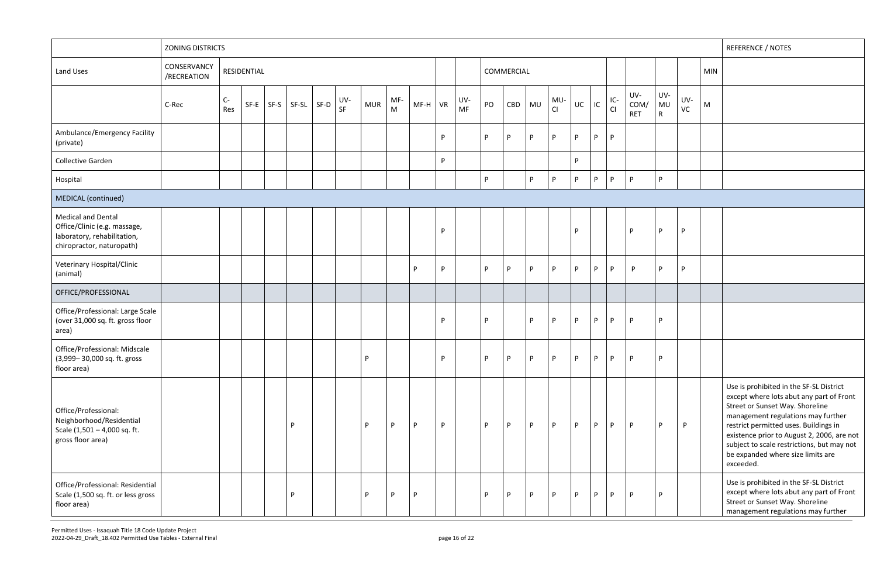|                                                                                                                       | <b>ZONING DISTRICTS</b>    |           |             |      |   |                |           |            |                                                                                              |           |          |                  |              |            |              |              |       |    |             |                           |                           |           | <b>REFERENCE / NOTES</b>                                                                                                                                                                                                                                                                                                                            |
|-----------------------------------------------------------------------------------------------------------------------|----------------------------|-----------|-------------|------|---|----------------|-----------|------------|----------------------------------------------------------------------------------------------|-----------|----------|------------------|--------------|------------|--------------|--------------|-------|----|-------------|---------------------------|---------------------------|-----------|-----------------------------------------------------------------------------------------------------------------------------------------------------------------------------------------------------------------------------------------------------------------------------------------------------------------------------------------------------|
| Land Uses                                                                                                             | CONSERVANCY<br>/RECREATION |           | RESIDENTIAL |      |   |                |           |            |                                                                                              |           |          |                  |              | COMMERCIAL |              |              |       |    |             |                           |                           |           | <b>MIN</b>                                                                                                                                                                                                                                                                                                                                          |
|                                                                                                                       | C-Rec                      | C-<br>Res | $SF-E$      | SF-S |   | $SF-SL$ $SF-D$ | UV-<br>SF | <b>MUR</b> | MF-<br>$\mathsf{M}% _{T}=\mathsf{M}_{T}\!\left( a,b\right) ,\ \mathsf{M}_{T}=\mathsf{M}_{T}$ | $MF-H$ VR |          | UV-<br><b>MF</b> | PO           | CBD        | <b>MU</b>    | MU-<br>CI    | UC    | IC | $IC-$<br>CI | UV-<br>COM/<br><b>RET</b> | UV-<br>MU<br>$\mathsf{R}$ | UV-<br>VC | M                                                                                                                                                                                                                                                                                                                                                   |
| Ambulance/Emergency Facility<br>(private)                                                                             |                            |           |             |      |   |                |           |            |                                                                                              |           | P        |                  | P            | D          | P            | P            | D     | P  | P           |                           |                           |           |                                                                                                                                                                                                                                                                                                                                                     |
| Collective Garden                                                                                                     |                            |           |             |      |   |                |           |            |                                                                                              |           | P        |                  |              |            |              |              | P.    |    |             |                           |                           |           |                                                                                                                                                                                                                                                                                                                                                     |
| Hospital                                                                                                              |                            |           |             |      |   |                |           |            |                                                                                              |           |          |                  | P            |            | $\mathsf{P}$ | P.           | P     | P. | P.          | <b>P</b>                  | P                         |           |                                                                                                                                                                                                                                                                                                                                                     |
| MEDICAL (continued)                                                                                                   |                            |           |             |      |   |                |           |            |                                                                                              |           |          |                  |              |            |              |              |       |    |             |                           |                           |           |                                                                                                                                                                                                                                                                                                                                                     |
| <b>Medical and Dental</b><br>Office/Clinic (e.g. massage,<br>laboratory, rehabilitation,<br>chiropractor, naturopath) |                            |           |             |      |   |                |           |            |                                                                                              |           | P        |                  |              |            |              |              | P     |    |             | D                         | P                         | P         |                                                                                                                                                                                                                                                                                                                                                     |
| Veterinary Hospital/Clinic<br>(animal)                                                                                |                            |           |             |      |   |                |           |            |                                                                                              | P         | P        |                  | P            | P          | $\mathsf{P}$ | P            | P     | P  | P           | P                         | P                         | P         |                                                                                                                                                                                                                                                                                                                                                     |
| OFFICE/PROFESSIONAL                                                                                                   |                            |           |             |      |   |                |           |            |                                                                                              |           |          |                  |              |            |              |              |       |    |             |                           |                           |           |                                                                                                                                                                                                                                                                                                                                                     |
| Office/Professional: Large Scale<br>(over 31,000 sq. ft. gross floor<br>area)                                         |                            |           |             |      |   |                |           |            |                                                                                              |           | P        |                  | P            |            | P            | P            | P     | P  | P           | P                         | P                         |           |                                                                                                                                                                                                                                                                                                                                                     |
| Office/Professional: Midscale<br>(3,999-30,000 sq. ft. gross<br>floor area)                                           |                            |           |             |      |   |                |           | <b>P</b>   |                                                                                              |           | <b>D</b> |                  | $\mathsf{P}$ | p          |              | $\mathsf{P}$ | P P P |    |             | <b>D</b>                  | P                         |           |                                                                                                                                                                                                                                                                                                                                                     |
| Office/Professional:<br>Neighborhood/Residential<br>Scale (1,501 - 4,000 sq. ft.<br>gross floor area)                 |                            |           |             |      | D |                |           | P          | P                                                                                            | P         | P        |                  | P            | D          | P            | P            | P     | P  | P           | <b>P</b>                  | P                         | P         | Use is prohibited in the SF-SL District<br>except where lots abut any part of Front<br>Street or Sunset Way. Shoreline<br>management regulations may further<br>restrict permitted uses. Buildings in<br>existence prior to August 2, 2006, are not<br>subject to scale restrictions, but may not<br>be expanded where size limits are<br>exceeded. |
| Office/Professional: Residential<br>Scale (1,500 sq. ft. or less gross<br>floor area)                                 |                            |           |             |      | D |                |           | P          | P                                                                                            | P         |          |                  | P            | D          | P            | P            | D     | P  | P           |                           | P                         |           | Use is prohibited in the SF-SL District<br>except where lots abut any part of Front<br>Street or Sunset Way. Shoreline<br>management regulations may further                                                                                                                                                                                        |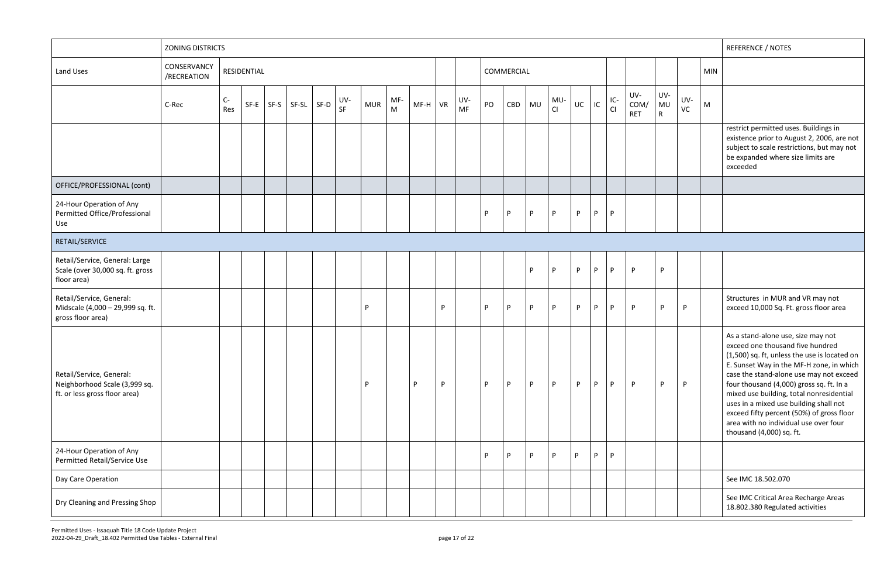|                                                                                            | <b>ZONING DISTRICTS</b>    |             |             |               |                |                  |            |                     |           |   |                  |    |            |    |           |    |    |              |                           |                           |              |            | REFERENCE / NOTES                                                                                                                                                                                                                                                                                                                                                                                                                                                 |
|--------------------------------------------------------------------------------------------|----------------------------|-------------|-------------|---------------|----------------|------------------|------------|---------------------|-----------|---|------------------|----|------------|----|-----------|----|----|--------------|---------------------------|---------------------------|--------------|------------|-------------------------------------------------------------------------------------------------------------------------------------------------------------------------------------------------------------------------------------------------------------------------------------------------------------------------------------------------------------------------------------------------------------------------------------------------------------------|
| Land Uses                                                                                  | CONSERVANCY<br>/RECREATION |             | RESIDENTIAL |               |                |                  |            |                     |           |   |                  |    | COMMERCIAL |    |           |    |    |              |                           |                           |              | <b>MIN</b> |                                                                                                                                                                                                                                                                                                                                                                                                                                                                   |
|                                                                                            | C-Rec                      | $C-$<br>Res |             | $SF-E$ $SF-S$ | $SF-SL$ $SF-D$ | UV-<br><b>SF</b> | <b>MUR</b> | MF-<br>$\mathsf{M}$ | $MF-H$ VR |   | UV-<br><b>MF</b> | PO | CBD        | MU | MU-<br>CI | UC | IC | IC-<br>Cl    | UV-<br>COM/<br><b>RET</b> | UV-<br>MU<br>$\mathsf{R}$ | UV-<br>VC    | M          |                                                                                                                                                                                                                                                                                                                                                                                                                                                                   |
|                                                                                            |                            |             |             |               |                |                  |            |                     |           |   |                  |    |            |    |           |    |    |              |                           |                           |              |            | restrict permitted uses. Buildings in<br>existence prior to August 2, 2006, are not<br>subject to scale restrictions, but may not<br>be expanded where size limits are<br>exceeded                                                                                                                                                                                                                                                                                |
| OFFICE/PROFESSIONAL (cont)                                                                 |                            |             |             |               |                |                  |            |                     |           |   |                  |    |            |    |           |    |    |              |                           |                           |              |            |                                                                                                                                                                                                                                                                                                                                                                                                                                                                   |
| 24-Hour Operation of Any<br>Permitted Office/Professional<br>Use                           |                            |             |             |               |                |                  |            |                     |           |   |                  | P  | P          | P  | P         | P  | P  | $\mathsf{P}$ |                           |                           |              |            |                                                                                                                                                                                                                                                                                                                                                                                                                                                                   |
| RETAIL/SERVICE                                                                             |                            |             |             |               |                |                  |            |                     |           |   |                  |    |            |    |           |    |    |              |                           |                           |              |            |                                                                                                                                                                                                                                                                                                                                                                                                                                                                   |
| Retail/Service, General: Large<br>Scale (over 30,000 sq. ft. gross<br>floor area)          |                            |             |             |               |                |                  |            |                     |           |   |                  |    |            | P. | P         | P  | P  | P            | P                         | P                         |              |            |                                                                                                                                                                                                                                                                                                                                                                                                                                                                   |
| Retail/Service, General:<br>Midscale (4,000 - 29,999 sq. ft.<br>gross floor area)          |                            |             |             |               |                |                  | P.         |                     |           | P |                  | P  | P          | P  | P         | P. | P  | P            | P.                        | P                         | P            |            | Structures in MUR and VR may not<br>exceed 10,000 Sq. Ft. gross floor area                                                                                                                                                                                                                                                                                                                                                                                        |
| Retail/Service, General:<br>Neighborhood Scale (3,999 sq.<br>ft. or less gross floor area) |                            |             |             |               |                |                  | P.         |                     | P         | P |                  | P  | P          | P  | P         | P  | P  | P            | P                         | <b>P</b>                  | $\mathsf{P}$ |            | As a stand-alone use, size may not<br>exceed one thousand five hundred<br>(1,500) sq. ft, unless the use is located on<br>E. Sunset Way in the MF-H zone, in which<br>case the stand-alone use may not exceed<br>four thousand (4,000) gross sq. ft. In a<br>mixed use building, total nonresidential<br>uses in a mixed use building shall not<br>exceed fifty percent (50%) of gross floor<br>area with no individual use over four<br>thousand (4,000) sq. ft. |
| 24-Hour Operation of Any<br>Permitted Retail/Service Use                                   |                            |             |             |               |                |                  |            |                     |           |   |                  | Þ  | P          | P. | P         | P  | P  | P            |                           |                           |              |            |                                                                                                                                                                                                                                                                                                                                                                                                                                                                   |
| Day Care Operation                                                                         |                            |             |             |               |                |                  |            |                     |           |   |                  |    |            |    |           |    |    |              |                           |                           |              |            | See IMC 18.502.070                                                                                                                                                                                                                                                                                                                                                                                                                                                |
| Dry Cleaning and Pressing Shop                                                             |                            |             |             |               |                |                  |            |                     |           |   |                  |    |            |    |           |    |    |              |                           |                           |              |            | See IMC Critical Area Recharge Areas<br>18.802.380 Regulated activities                                                                                                                                                                                                                                                                                                                                                                                           |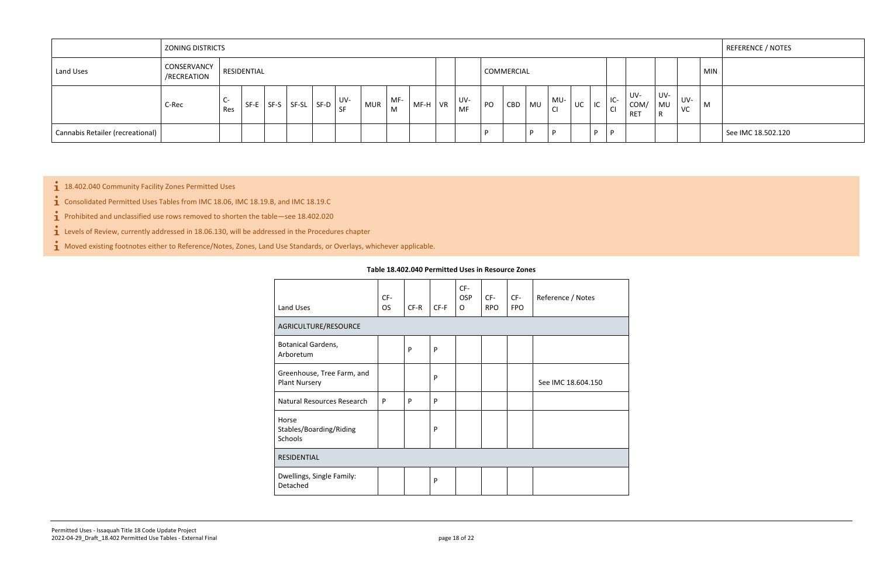|                                  | <b>ZONING DISTRICTS</b>    |           |             |                                         |                          |     |          |        |           |           |    |            |      |                        |    |    |                      |                           |                |           | REFERENCE / NOTES  |
|----------------------------------|----------------------------|-----------|-------------|-----------------------------------------|--------------------------|-----|----------|--------|-----------|-----------|----|------------|------|------------------------|----|----|----------------------|---------------------------|----------------|-----------|--------------------|
| Land Uses                        | CONSERVANCY<br>/RECREATION |           | RESIDENTIAL |                                         |                          |     |          |        |           |           |    | COMMERCIAL |      |                        |    |    |                      |                           |                |           | <b>MIN</b>         |
|                                  | C-Rec                      | U-<br>Res | SF-E        | $\vert$ SF-S $\vert$ SF-SL $\vert$ SF-D | UV-<br>$\overline{1}$ SF | MUR | MF-<br>M | $MF-H$ | <b>VR</b> | UV-<br>MF | PO | CBD        | ! MU | MU-<br>$\overline{C'}$ | UC | IC | $IC-$<br>$\sim$<br>◟ | UV-<br>COM/<br><b>RET</b> | UV-<br>MU<br>R | UV-<br>VC | M                  |
| Cannabis Retailer (recreational) |                            |           |             |                                         |                          |     |          |        |           |           |    |            |      | D                      |    | D  |                      |                           |                |           | See IMC 18.502.120 |

<span id="page-17-0"></span> $1$  18.402.040 Community Facility Zones Permitted Uses

 $\bullet$  Consolidated Permitted Uses Tables from IMC 18.06, IMC 18.19.B, and IMC 18.19.C

 $\mathbf{\hat{1}}$  Prohibited and unclassified use rows removed to shorten the table—see 18.402.020

 $\mathbf{i}$  Levels of Review, currently addressed in 18.06.130, will be addressed in the Procedures chapter

 $\mathbf{\dot{1}}$  Moved existing footnotes either to Reference/Notes, Zones, Land Use Standards, or Overlays, whichever applicable.

#### **Table 18.402.040 Permitted Uses in Resource Zones**

| Land Uses                                          | CF-<br><b>OS</b> | $CF-R$ | $CF-F$ | CF-<br><b>OSP</b><br>$\Omega$ | CF-<br><b>RPO</b> | CF-<br><b>FPO</b> | Reference / Notes  |
|----------------------------------------------------|------------------|--------|--------|-------------------------------|-------------------|-------------------|--------------------|
| AGRICULTURE/RESOURCE                               |                  |        |        |                               |                   |                   |                    |
| <b>Botanical Gardens,</b><br>Arboretum             |                  | P      | P      |                               |                   |                   |                    |
| Greenhouse, Tree Farm, and<br><b>Plant Nursery</b> |                  |        | P      |                               |                   |                   | See IMC 18.604.150 |
| Natural Resources Research                         | P                | P      | P      |                               |                   |                   |                    |
| Horse<br>Stables/Boarding/Riding<br>Schools        |                  |        | P      |                               |                   |                   |                    |
| <b>RESIDENTIAL</b>                                 |                  |        |        |                               |                   |                   |                    |
| Dwellings, Single Family:<br>Detached              |                  |        | P      |                               |                   |                   |                    |
|                                                    |                  |        |        |                               |                   |                   |                    |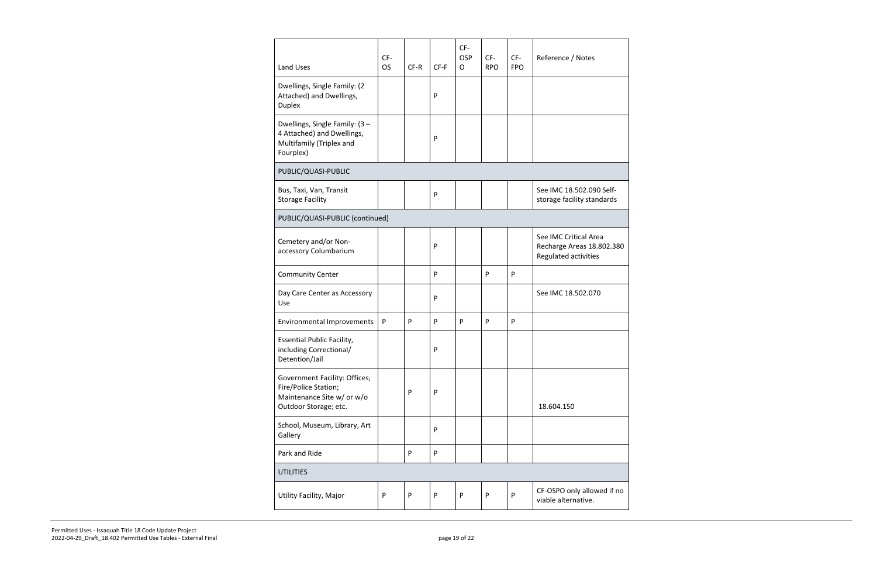| Land Uses                                                                                                    | CF-<br><b>OS</b> | CF-R | $CF-F$       | CF-<br><b>OSP</b><br>O | CF-<br><b>RPO</b> | CF-<br><b>FPO</b> | Reference / Notes                                                          |
|--------------------------------------------------------------------------------------------------------------|------------------|------|--------------|------------------------|-------------------|-------------------|----------------------------------------------------------------------------|
| Dwellings, Single Family: (2<br>Attached) and Dwellings,<br><b>Duplex</b>                                    |                  |      | P            |                        |                   |                   |                                                                            |
| Dwellings, Single Family: (3 -<br>4 Attached) and Dwellings,<br>Multifamily (Triplex and<br>Fourplex)        |                  |      | P            |                        |                   |                   |                                                                            |
| PUBLIC/QUASI-PUBLIC                                                                                          |                  |      |              |                        |                   |                   |                                                                            |
| Bus, Taxi, Van, Transit<br><b>Storage Facility</b>                                                           |                  |      | $\mathsf{P}$ |                        |                   |                   | See IMC 18.502.090 Self-<br>storage facility standards                     |
| PUBLIC/QUASI-PUBLIC (continued)                                                                              |                  |      |              |                        |                   |                   |                                                                            |
| Cemetery and/or Non-<br>accessory Columbarium                                                                |                  |      | P            |                        |                   |                   | See IMC Critical Area<br>Recharge Areas 18.802.380<br>Regulated activities |
| <b>Community Center</b>                                                                                      |                  |      | P            |                        | P                 | P                 |                                                                            |
| Day Care Center as Accessory<br>Use                                                                          |                  |      | P            |                        |                   |                   | See IMC 18.502.070                                                         |
| <b>Environmental Improvements</b>                                                                            | P                | P    | P            | P                      | P                 | P                 |                                                                            |
| <b>Essential Public Facility,</b><br>including Correctional/<br>Detention/Jail                               |                  |      | P            |                        |                   |                   |                                                                            |
| Government Facility: Offices;<br>Fire/Police Station;<br>Maintenance Site w/ or w/o<br>Outdoor Storage; etc. |                  | P    | P            |                        |                   |                   | 18.604.150                                                                 |
| School, Museum, Library, Art<br>Gallery                                                                      |                  |      | P            |                        |                   |                   |                                                                            |
| Park and Ride                                                                                                |                  | P    | P            |                        |                   |                   |                                                                            |
| <b>UTILITIES</b>                                                                                             |                  |      |              |                        |                   |                   |                                                                            |
| Utility Facility, Major                                                                                      | P                | P    | ${\sf P}$    | ${\sf P}$              | P                 | P                 | CF-OSPO only allowed if no<br>viable alternative.                          |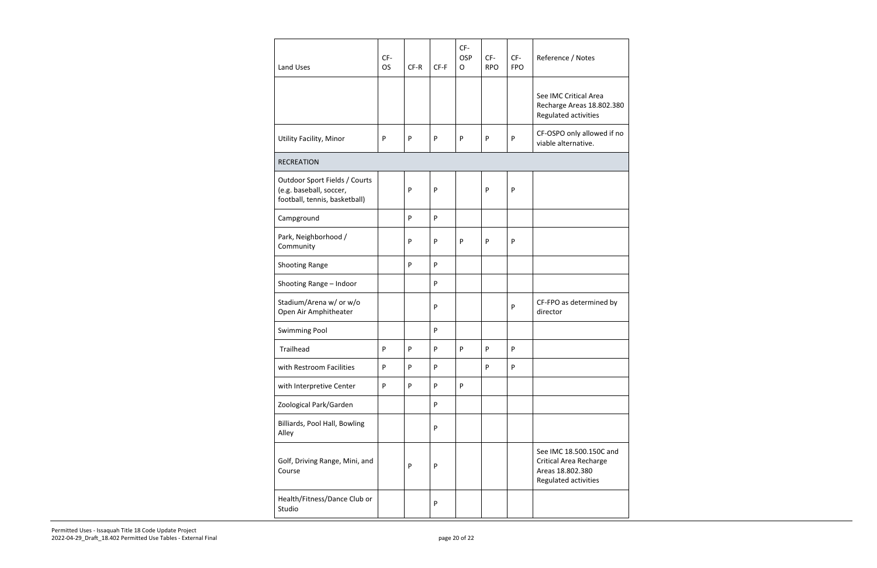| <b>Land Uses</b>                                                                          | CF-<br><b>OS</b> | CF-R | CF-F | CF-<br><b>OSP</b><br>$\mathsf{O}$ | CF-<br><b>RPO</b> | CF-<br><b>FPO</b> | Reference / Notes                                                                                    |
|-------------------------------------------------------------------------------------------|------------------|------|------|-----------------------------------|-------------------|-------------------|------------------------------------------------------------------------------------------------------|
|                                                                                           |                  |      |      |                                   |                   |                   | See IMC Critical Area<br>Recharge Areas 18.802.380<br>Regulated activities                           |
| Utility Facility, Minor                                                                   | P                | P    | P    | P                                 | P                 | P                 | CF-OSPO only allowed if no<br>viable alternative.                                                    |
| <b>RECREATION</b>                                                                         |                  |      |      |                                   |                   |                   |                                                                                                      |
| Outdoor Sport Fields / Courts<br>(e.g. baseball, soccer,<br>football, tennis, basketball) |                  | P    | P    |                                   | P                 | P                 |                                                                                                      |
| Campground                                                                                |                  | P    | P    |                                   |                   |                   |                                                                                                      |
| Park, Neighborhood /<br>Community                                                         |                  | P    | P    | P                                 | P                 | P                 |                                                                                                      |
| Shooting Range                                                                            |                  | P    | P    |                                   |                   |                   |                                                                                                      |
| Shooting Range - Indoor                                                                   |                  |      | P    |                                   |                   |                   |                                                                                                      |
| Stadium/Arena w/ or w/o<br>Open Air Amphitheater                                          |                  |      | P    |                                   |                   | P                 | CF-FPO as determined by<br>director                                                                  |
| <b>Swimming Pool</b>                                                                      |                  |      | P    |                                   |                   |                   |                                                                                                      |
| Trailhead                                                                                 | P                | P    | P    | P                                 | P                 | P                 |                                                                                                      |
| with Restroom Facilities                                                                  | P                | P    | P    |                                   | P                 | ${\sf P}$         |                                                                                                      |
| with Interpretive Center                                                                  | P                | P    | P    | P                                 |                   |                   |                                                                                                      |
| Zoological Park/Garden                                                                    |                  |      | P    |                                   |                   |                   |                                                                                                      |
| Billiards, Pool Hall, Bowling<br>Alley                                                    |                  |      | P    |                                   |                   |                   |                                                                                                      |
| Golf, Driving Range, Mini, and<br>Course                                                  |                  | P    | P    |                                   |                   |                   | See IMC 18.500.150C and<br><b>Critical Area Recharge</b><br>Areas 18.802.380<br>Regulated activities |
| Health/Fitness/Dance Club or<br>Studio                                                    |                  |      | P    |                                   |                   |                   |                                                                                                      |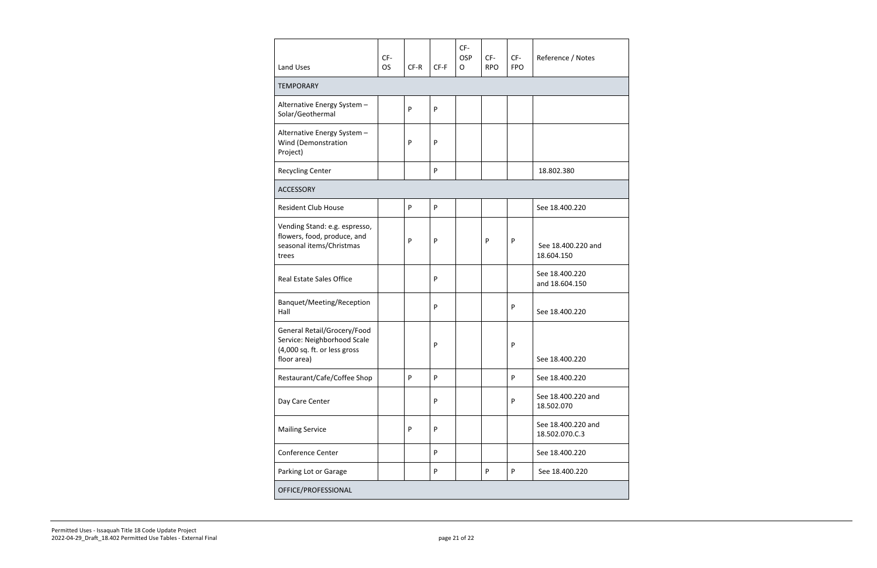|                                                                                                           | CF-       |      |        | CF-<br>OSP   | CF-        | $CF-$      | Reference / Notes                    |
|-----------------------------------------------------------------------------------------------------------|-----------|------|--------|--------------|------------|------------|--------------------------------------|
| <b>Land Uses</b>                                                                                          | <b>OS</b> | CF-R | $CF-F$ | $\mathsf{O}$ | <b>RPO</b> | <b>FPO</b> |                                      |
| <b>TEMPORARY</b>                                                                                          |           |      |        |              |            |            |                                      |
| Alternative Energy System -<br>Solar/Geothermal                                                           |           | P    | P      |              |            |            |                                      |
| Alternative Energy System -<br>Wind (Demonstration<br>Project)                                            |           | P    | P      |              |            |            |                                      |
| <b>Recycling Center</b>                                                                                   |           |      | P      |              |            |            | 18.802.380                           |
| <b>ACCESSORY</b>                                                                                          |           |      |        |              |            |            |                                      |
| <b>Resident Club House</b>                                                                                |           | P    | P      |              |            |            | See 18.400.220                       |
| Vending Stand: e.g. espresso,<br>flowers, food, produce, and<br>seasonal items/Christmas<br>trees         |           | P    | P      |              | P          | P          | See 18.400.220 and<br>18.604.150     |
| <b>Real Estate Sales Office</b>                                                                           |           |      | P      |              |            |            | See 18.400.220<br>and 18.604.150     |
| Banquet/Meeting/Reception<br>Hall                                                                         |           |      | P      |              |            | ${\sf P}$  | See 18.400.220                       |
| General Retail/Grocery/Food<br>Service: Neighborhood Scale<br>(4,000 sq. ft. or less gross<br>floor area) |           |      | P      |              |            | P          | See 18.400.220                       |
| Restaurant/Cafe/Coffee Shop                                                                               |           | P    | P      |              |            | P          | See 18.400.220                       |
| Day Care Center                                                                                           |           |      | P      |              |            | P          | See 18.400.220 and<br>18.502.070     |
| <b>Mailing Service</b>                                                                                    |           | P    | P      |              |            |            | See 18.400.220 and<br>18.502.070.C.3 |
| <b>Conference Center</b>                                                                                  |           |      | P      |              |            |            | See 18.400.220                       |
| Parking Lot or Garage                                                                                     |           |      | P      |              | ${\sf P}$  | P          | See 18.400.220                       |
| OFFICE/PROFESSIONAL                                                                                       |           |      |        |              |            |            |                                      |